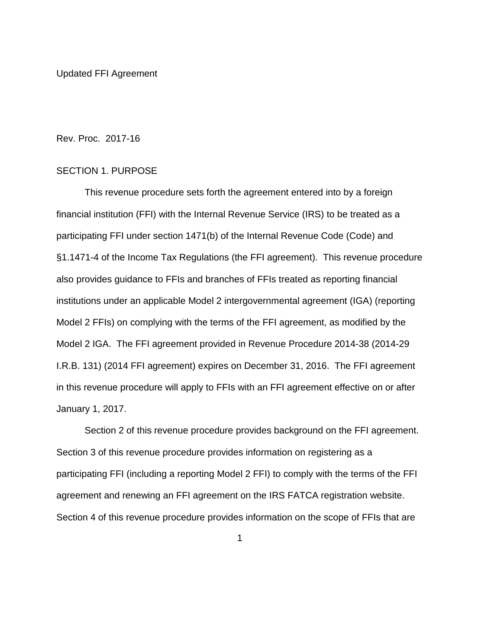Updated FFI Agreement

Rev. Proc. 2017-16

## SECTION 1. PURPOSE

This revenue procedure sets forth the agreement entered into by a foreign financial institution (FFI) with the Internal Revenue Service (IRS) to be treated as a participating FFI under section 1471(b) of the Internal Revenue Code (Code) and §1.1471-4 of the Income Tax Regulations (the FFI agreement). This revenue procedure also provides guidance to FFIs and branches of FFIs treated as reporting financial institutions under an applicable Model 2 intergovernmental agreement (IGA) (reporting Model 2 FFIs) on complying with the terms of the FFI agreement, as modified by the Model 2 IGA. The FFI agreement provided in Revenue Procedure 2014-38 (2014-29 I.R.B. 131) (2014 FFI agreement) expires on December 31, 2016. The FFI agreement in this revenue procedure will apply to FFIs with an FFI agreement effective on or after January 1, 2017.

Section 2 of this revenue procedure provides background on the FFI agreement. Section 3 of this revenue procedure provides information on registering as a participating FFI (including a reporting Model 2 FFI) to comply with the terms of the FFI agreement and renewing an FFI agreement on the IRS FATCA registration website. Section 4 of this revenue procedure provides information on the scope of FFIs that are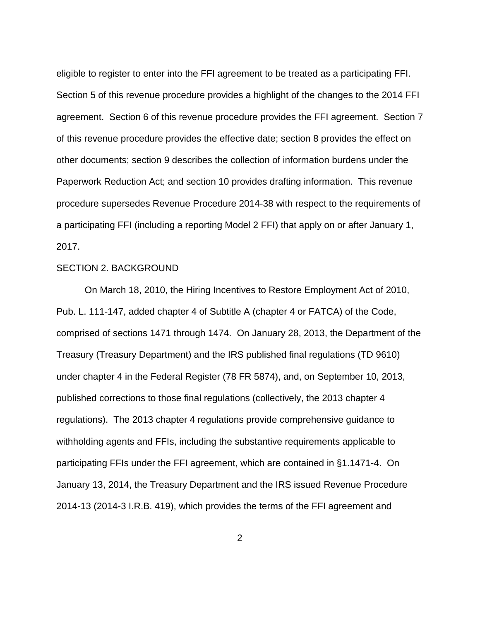eligible to register to enter into the FFI agreement to be treated as a participating FFI. Section 5 of this revenue procedure provides a highlight of the changes to the 2014 FFI agreement. Section 6 of this revenue procedure provides the FFI agreement. Section 7 of this revenue procedure provides the effective date; section 8 provides the effect on other documents; section 9 describes the collection of information burdens under the Paperwork Reduction Act; and section 10 provides drafting information. This revenue procedure supersedes Revenue Procedure 2014-38 with respect to the requirements of a participating FFI (including a reporting Model 2 FFI) that apply on or after January 1, 2017.

## SECTION 2. BACKGROUND

On March 18, 2010, the Hiring Incentives to Restore Employment Act of 2010, Pub. L. 111-147, added chapter 4 of Subtitle A (chapter 4 or FATCA) of the Code, comprised of sections 1471 through 1474. On January 28, 2013, the Department of the Treasury (Treasury Department) and the IRS published final regulations (TD 9610) under chapter 4 in the Federal Register (78 FR 5874), and, on September 10, 2013, published corrections to those final regulations (collectively, the 2013 chapter 4 regulations). The 2013 chapter 4 regulations provide comprehensive guidance to withholding agents and FFIs, including the substantive requirements applicable to participating FFIs under the FFI agreement, which are contained in §1.1471-4. On January 13, 2014, the Treasury Department and the IRS issued Revenue Procedure 2014-13 (2014-3 I.R.B. 419), which provides the terms of the FFI agreement and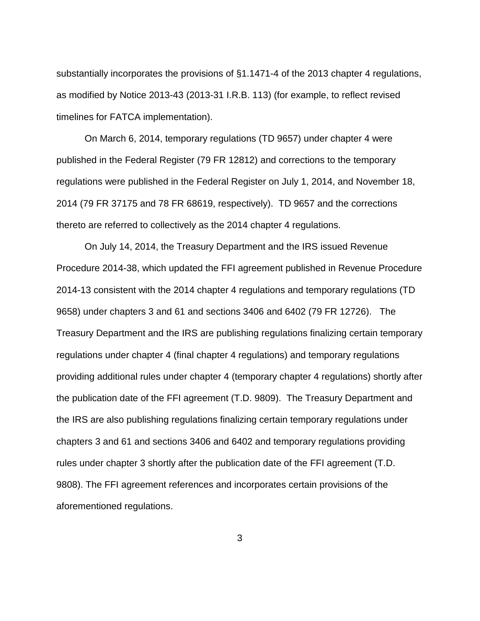substantially incorporates the provisions of §1.1471-4 of the 2013 chapter 4 regulations, as modified by Notice 2013-43 (2013-31 I.R.B. 113) (for example, to reflect revised timelines for FATCA implementation).

On March 6, 2014, temporary regulations (TD 9657) under chapter 4 were published in the Federal Register (79 FR 12812) and corrections to the temporary regulations were published in the Federal Register on July 1, 2014, and November 18, 2014 (79 FR 37175 and 78 FR 68619, respectively). TD 9657 and the corrections thereto are referred to collectively as the 2014 chapter 4 regulations.

On July 14, 2014, the Treasury Department and the IRS issued Revenue Procedure 2014-38, which updated the FFI agreement published in Revenue Procedure 2014-13 consistent with the 2014 chapter 4 regulations and temporary regulations (TD 9658) under chapters 3 and 61 and sections 3406 and 6402 (79 FR 12726). The Treasury Department and the IRS are publishing regulations finalizing certain temporary regulations under chapter 4 (final chapter 4 regulations) and temporary regulations providing additional rules under chapter 4 (temporary chapter 4 regulations) shortly after the publication date of the FFI agreement (T.D. 9809). The Treasury Department and the IRS are also publishing regulations finalizing certain temporary regulations under chapters 3 and 61 and sections 3406 and 6402 and temporary regulations providing rules under chapter 3 shortly after the publication date of the FFI agreement (T.D. 9808). The FFI agreement references and incorporates certain provisions of the aforementioned regulations.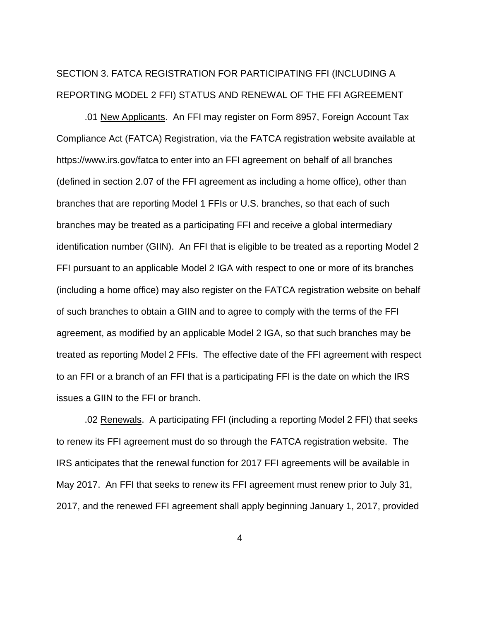# SECTION 3. FATCA REGISTRATION FOR PARTICIPATING FFI (INCLUDING A REPORTING MODEL 2 FFI) STATUS AND RENEWAL OF THE FFI AGREEMENT

.01 New Applicants. An FFI may register on Form 8957, Foreign Account Tax Compliance Act (FATCA) Registration, via the FATCA registration website available at https://www.irs.gov/fatca to enter into an FFI agreement on behalf of all branches (defined in section 2.07 of the FFI agreement as including a home office), other than branches that are reporting Model 1 FFIs or U.S. branches, so that each of such branches may be treated as a participating FFI and receive a global intermediary identification number (GIIN). An FFI that is eligible to be treated as a reporting Model 2 FFI pursuant to an applicable Model 2 IGA with respect to one or more of its branches (including a home office) may also register on the FATCA registration website on behalf of such branches to obtain a GIIN and to agree to comply with the terms of the FFI agreement, as modified by an applicable Model 2 IGA, so that such branches may be treated as reporting Model 2 FFIs. The effective date of the FFI agreement with respect to an FFI or a branch of an FFI that is a participating FFI is the date on which the IRS issues a GIIN to the FFI or branch.

.02 Renewals. A participating FFI (including a reporting Model 2 FFI) that seeks to renew its FFI agreement must do so through the FATCA registration website. The IRS anticipates that the renewal function for 2017 FFI agreements will be available in May 2017. An FFI that seeks to renew its FFI agreement must renew prior to July 31, 2017, and the renewed FFI agreement shall apply beginning January 1, 2017, provided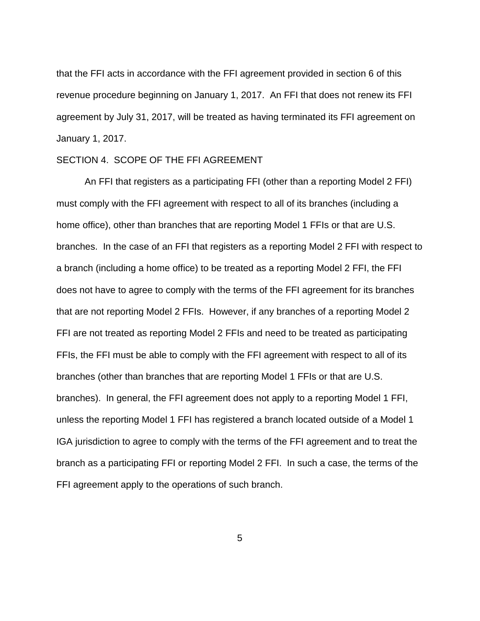that the FFI acts in accordance with the FFI agreement provided in section 6 of this revenue procedure beginning on January 1, 2017. An FFI that does not renew its FFI agreement by July 31, 2017, will be treated as having terminated its FFI agreement on January 1, 2017.

## SECTION 4. SCOPE OF THE FFI AGREEMENT

An FFI that registers as a participating FFI (other than a reporting Model 2 FFI) must comply with the FFI agreement with respect to all of its branches (including a home office), other than branches that are reporting Model 1 FFIs or that are U.S. branches. In the case of an FFI that registers as a reporting Model 2 FFI with respect to a branch (including a home office) to be treated as a reporting Model 2 FFI, the FFI does not have to agree to comply with the terms of the FFI agreement for its branches that are not reporting Model 2 FFIs. However, if any branches of a reporting Model 2 FFI are not treated as reporting Model 2 FFIs and need to be treated as participating FFIs, the FFI must be able to comply with the FFI agreement with respect to all of its branches (other than branches that are reporting Model 1 FFIs or that are U.S. branches). In general, the FFI agreement does not apply to a reporting Model 1 FFI, unless the reporting Model 1 FFI has registered a branch located outside of a Model 1 IGA jurisdiction to agree to comply with the terms of the FFI agreement and to treat the branch as a participating FFI or reporting Model 2 FFI. In such a case, the terms of the FFI agreement apply to the operations of such branch.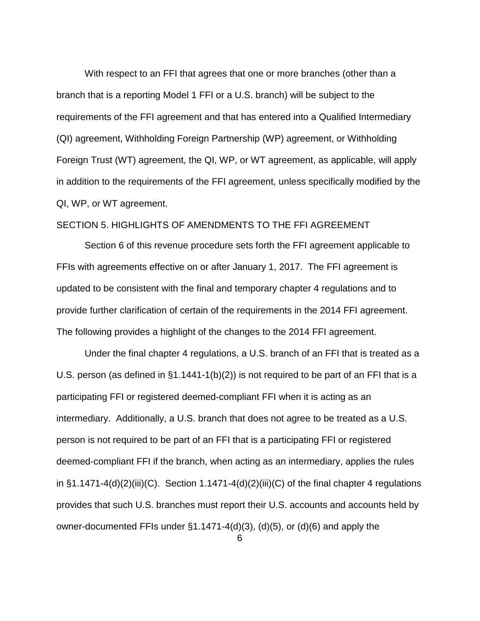With respect to an FFI that agrees that one or more branches (other than a branch that is a reporting Model 1 FFI or a U.S. branch) will be subject to the requirements of the FFI agreement and that has entered into a Qualified Intermediary (QI) agreement, Withholding Foreign Partnership (WP) agreement, or Withholding Foreign Trust (WT) agreement, the QI, WP, or WT agreement, as applicable, will apply in addition to the requirements of the FFI agreement, unless specifically modified by the QI, WP, or WT agreement.

# SECTION 5. HIGHLIGHTS OF AMENDMENTS TO THE FFI AGREEMENT

Section 6 of this revenue procedure sets forth the FFI agreement applicable to FFIs with agreements effective on or after January 1, 2017. The FFI agreement is updated to be consistent with the final and temporary chapter 4 regulations and to provide further clarification of certain of the requirements in the 2014 FFI agreement. The following provides a highlight of the changes to the 2014 FFI agreement.

Under the final chapter 4 regulations, a U.S. branch of an FFI that is treated as a U.S. person (as defined in §1.1441-1(b)(2)) is not required to be part of an FFI that is a participating FFI or registered deemed-compliant FFI when it is acting as an intermediary. Additionally, a U.S. branch that does not agree to be treated as a U.S. person is not required to be part of an FFI that is a participating FFI or registered deemed-compliant FFI if the branch, when acting as an intermediary, applies the rules in  $\S1.1471-4(d)(2)(iii)(C)$ . Section 1.1471-4(d)(2)(iii)(C) of the final chapter 4 regulations provides that such U.S. branches must report their U.S. accounts and accounts held by owner-documented FFIs under §1.1471-4(d)(3), (d)(5), or (d)(6) and apply the 6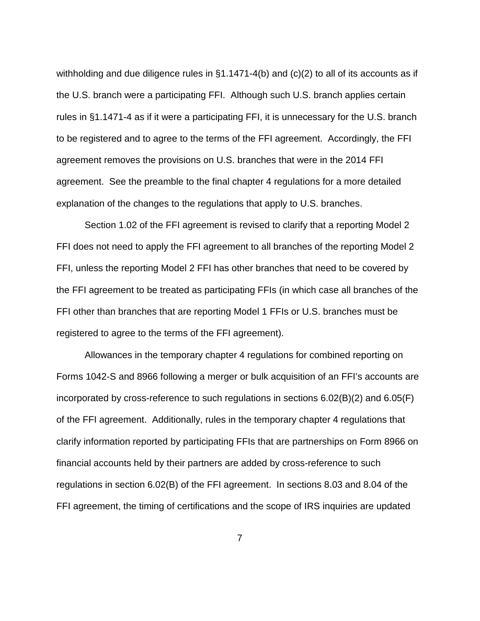withholding and due diligence rules in §1.1471-4(b) and (c)(2) to all of its accounts as if the U.S. branch were a participating FFI. Although such U.S. branch applies certain rules in §1.1471-4 as if it were a participating FFI, it is unnecessary for the U.S. branch to be registered and to agree to the terms of the FFI agreement. Accordingly, the FFI agreement removes the provisions on U.S. branches that were in the 2014 FFI agreement. See the preamble to the final chapter 4 regulations for a more detailed explanation of the changes to the regulations that apply to U.S. branches.

Section 1.02 of the FFI agreement is revised to clarify that a reporting Model 2 FFI does not need to apply the FFI agreement to all branches of the reporting Model 2 FFI, unless the reporting Model 2 FFI has other branches that need to be covered by the FFI agreement to be treated as participating FFIs (in which case all branches of the FFI other than branches that are reporting Model 1 FFIs or U.S. branches must be registered to agree to the terms of the FFI agreement).

Allowances in the temporary chapter 4 regulations for combined reporting on Forms 1042-S and 8966 following a merger or bulk acquisition of an FFI's accounts are incorporated by cross-reference to such regulations in sections 6.02(B)(2) and 6.05(F) of the FFI agreement. Additionally, rules in the temporary chapter 4 regulations that clarify information reported by participating FFIs that are partnerships on Form 8966 on financial accounts held by their partners are added by cross-reference to such regulations in section 6.02(B) of the FFI agreement. In sections 8.03 and 8.04 of the FFI agreement, the timing of certifications and the scope of IRS inquiries are updated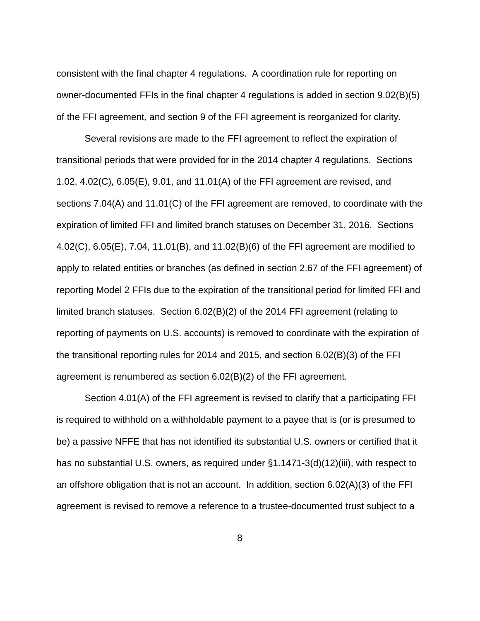consistent with the final chapter 4 regulations. A coordination rule for reporting on owner-documented FFIs in the final chapter 4 regulations is added in section 9.02(B)(5) of the FFI agreement, and section 9 of the FFI agreement is reorganized for clarity.

Several revisions are made to the FFI agreement to reflect the expiration of transitional periods that were provided for in the 2014 chapter 4 regulations. Sections 1.02, 4.02(C), 6.05(E), 9.01, and 11.01(A) of the FFI agreement are revised, and sections 7.04(A) and 11.01(C) of the FFI agreement are removed, to coordinate with the expiration of limited FFI and limited branch statuses on December 31, 2016. Sections 4.02(C), 6.05(E), 7.04, 11.01(B), and 11.02(B)(6) of the FFI agreement are modified to apply to related entities or branches (as defined in section 2.67 of the FFI agreement) of reporting Model 2 FFIs due to the expiration of the transitional period for limited FFI and limited branch statuses. Section 6.02(B)(2) of the 2014 FFI agreement (relating to reporting of payments on U.S. accounts) is removed to coordinate with the expiration of the transitional reporting rules for 2014 and 2015, and section 6.02(B)(3) of the FFI agreement is renumbered as section 6.02(B)(2) of the FFI agreement.

Section 4.01(A) of the FFI agreement is revised to clarify that a participating FFI is required to withhold on a withholdable payment to a payee that is (or is presumed to be) a passive NFFE that has not identified its substantial U.S. owners or certified that it has no substantial U.S. owners, as required under §1.1471-3(d)(12)(iii), with respect to an offshore obligation that is not an account. In addition, section 6.02(A)(3) of the FFI agreement is revised to remove a reference to a trustee-documented trust subject to a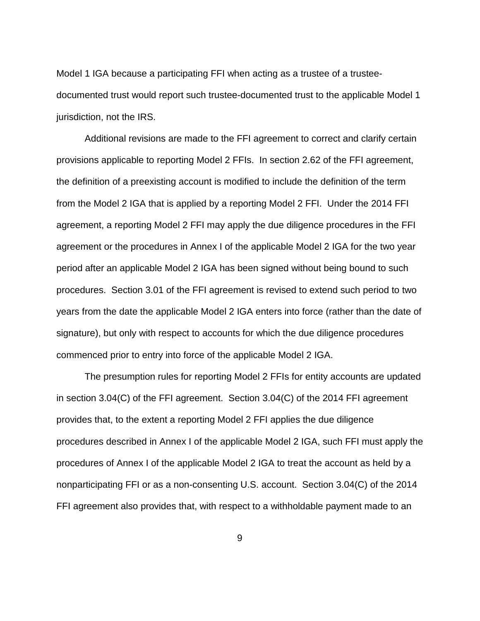Model 1 IGA because a participating FFI when acting as a trustee of a trusteedocumented trust would report such trustee-documented trust to the applicable Model 1 jurisdiction, not the IRS.

Additional revisions are made to the FFI agreement to correct and clarify certain provisions applicable to reporting Model 2 FFIs. In section 2.62 of the FFI agreement, the definition of a preexisting account is modified to include the definition of the term from the Model 2 IGA that is applied by a reporting Model 2 FFI. Under the 2014 FFI agreement, a reporting Model 2 FFI may apply the due diligence procedures in the FFI agreement or the procedures in Annex I of the applicable Model 2 IGA for the two year period after an applicable Model 2 IGA has been signed without being bound to such procedures. Section 3.01 of the FFI agreement is revised to extend such period to two years from the date the applicable Model 2 IGA enters into force (rather than the date of signature), but only with respect to accounts for which the due diligence procedures commenced prior to entry into force of the applicable Model 2 IGA.

The presumption rules for reporting Model 2 FFIs for entity accounts are updated in section 3.04(C) of the FFI agreement. Section 3.04(C) of the 2014 FFI agreement provides that, to the extent a reporting Model 2 FFI applies the due diligence procedures described in Annex I of the applicable Model 2 IGA, such FFI must apply the procedures of Annex I of the applicable Model 2 IGA to treat the account as held by a nonparticipating FFI or as a non-consenting U.S. account. Section 3.04(C) of the 2014 FFI agreement also provides that, with respect to a withholdable payment made to an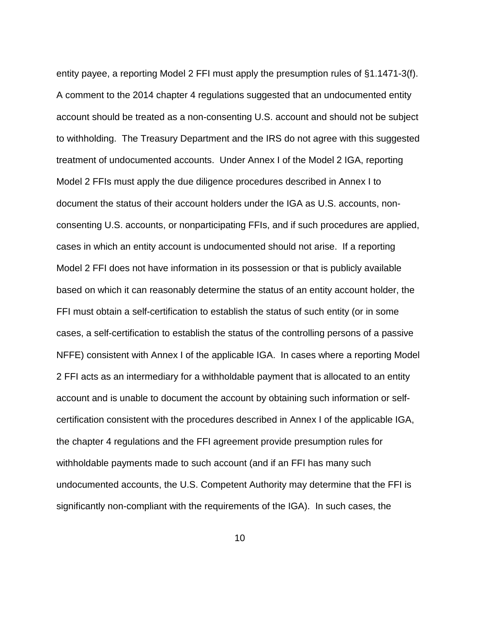entity payee, a reporting Model 2 FFI must apply the presumption rules of §1.1471-3(f). A comment to the 2014 chapter 4 regulations suggested that an undocumented entity account should be treated as a non-consenting U.S. account and should not be subject to withholding. The Treasury Department and the IRS do not agree with this suggested treatment of undocumented accounts. Under Annex I of the Model 2 IGA, reporting Model 2 FFIs must apply the due diligence procedures described in Annex I to document the status of their account holders under the IGA as U.S. accounts, nonconsenting U.S. accounts, or nonparticipating FFIs, and if such procedures are applied, cases in which an entity account is undocumented should not arise. If a reporting Model 2 FFI does not have information in its possession or that is publicly available based on which it can reasonably determine the status of an entity account holder, the FFI must obtain a self-certification to establish the status of such entity (or in some cases, a self-certification to establish the status of the controlling persons of a passive NFFE) consistent with Annex I of the applicable IGA. In cases where a reporting Model 2 FFI acts as an intermediary for a withholdable payment that is allocated to an entity account and is unable to document the account by obtaining such information or selfcertification consistent with the procedures described in Annex I of the applicable IGA, the chapter 4 regulations and the FFI agreement provide presumption rules for withholdable payments made to such account (and if an FFI has many such undocumented accounts, the U.S. Competent Authority may determine that the FFI is significantly non-compliant with the requirements of the IGA). In such cases, the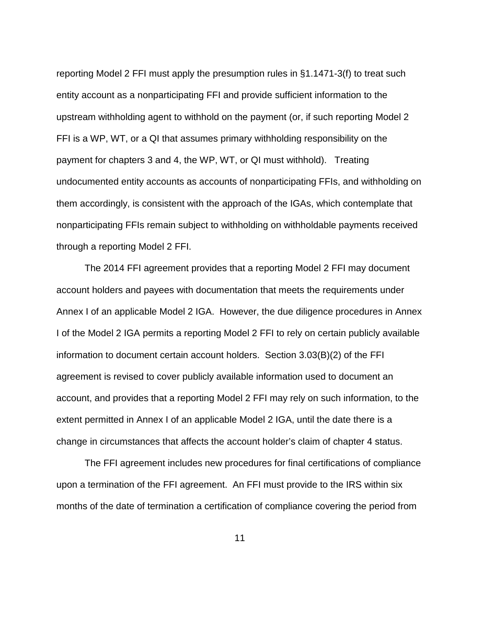reporting Model 2 FFI must apply the presumption rules in §1.1471-3(f) to treat such entity account as a nonparticipating FFI and provide sufficient information to the upstream withholding agent to withhold on the payment (or, if such reporting Model 2 FFI is a WP, WT, or a QI that assumes primary withholding responsibility on the payment for chapters 3 and 4, the WP, WT, or QI must withhold). Treating undocumented entity accounts as accounts of nonparticipating FFIs, and withholding on them accordingly, is consistent with the approach of the IGAs, which contemplate that nonparticipating FFIs remain subject to withholding on withholdable payments received through a reporting Model 2 FFI.

The 2014 FFI agreement provides that a reporting Model 2 FFI may document account holders and payees with documentation that meets the requirements under Annex I of an applicable Model 2 IGA. However, the due diligence procedures in Annex I of the Model 2 IGA permits a reporting Model 2 FFI to rely on certain publicly available information to document certain account holders. Section 3.03(B)(2) of the FFI agreement is revised to cover publicly available information used to document an account, and provides that a reporting Model 2 FFI may rely on such information, to the extent permitted in Annex I of an applicable Model 2 IGA, until the date there is a change in circumstances that affects the account holder's claim of chapter 4 status.

The FFI agreement includes new procedures for final certifications of compliance upon a termination of the FFI agreement. An FFI must provide to the IRS within six months of the date of termination a certification of compliance covering the period from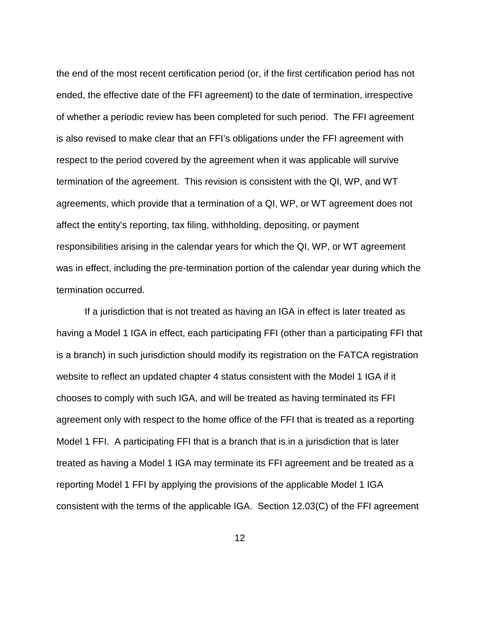the end of the most recent certification period (or, if the first certification period has not ended, the effective date of the FFI agreement) to the date of termination, irrespective of whether a periodic review has been completed for such period. The FFI agreement is also revised to make clear that an FFI's obligations under the FFI agreement with respect to the period covered by the agreement when it was applicable will survive termination of the agreement. This revision is consistent with the QI, WP, and WT agreements, which provide that a termination of a QI, WP, or WT agreement does not affect the entity's reporting, tax filing, withholding, depositing, or payment responsibilities arising in the calendar years for which the QI, WP, or WT agreement was in effect, including the pre-termination portion of the calendar year during which the termination occurred.

If a jurisdiction that is not treated as having an IGA in effect is later treated as having a Model 1 IGA in effect, each participating FFI (other than a participating FFI that is a branch) in such jurisdiction should modify its registration on the FATCA registration website to reflect an updated chapter 4 status consistent with the Model 1 IGA if it chooses to comply with such IGA, and will be treated as having terminated its FFI agreement only with respect to the home office of the FFI that is treated as a reporting Model 1 FFI. A participating FFI that is a branch that is in a jurisdiction that is later treated as having a Model 1 IGA may terminate its FFI agreement and be treated as a reporting Model 1 FFI by applying the provisions of the applicable Model 1 IGA consistent with the terms of the applicable IGA. Section 12.03(C) of the FFI agreement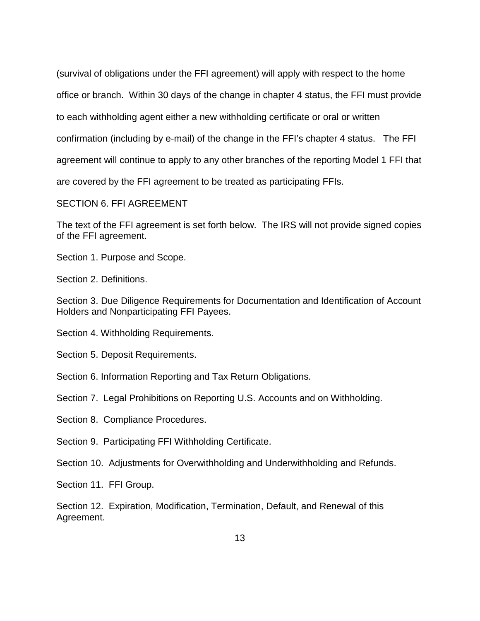(survival of obligations under the FFI agreement) will apply with respect to the home office or branch. Within 30 days of the change in chapter 4 status, the FFI must provide to each withholding agent either a new withholding certificate or oral or written confirmation (including by e-mail) of the change in the FFI's chapter 4 status. The FFI agreement will continue to apply to any other branches of the reporting Model 1 FFI that are covered by the FFI agreement to be treated as participating FFIs. SECTION 6. FFI AGREEMENT

The text of the FFI agreement is set forth below. The IRS will not provide signed copies of the FFI agreement.

Section 1. Purpose and Scope.

Section 2. Definitions.

Section 3. Due Diligence Requirements for Documentation and Identification of Account Holders and Nonparticipating FFI Payees.

Section 4. Withholding Requirements.

Section 5. Deposit Requirements.

Section 6. Information Reporting and Tax Return Obligations.

Section 7. Legal Prohibitions on Reporting U.S. Accounts and on Withholding.

Section 8. Compliance Procedures.

Section 9. Participating FFI Withholding Certificate.

Section 10. Adjustments for Overwithholding and Underwithholding and Refunds.

Section 11. FFI Group.

Section 12. Expiration, Modification, Termination, Default, and Renewal of this Agreement.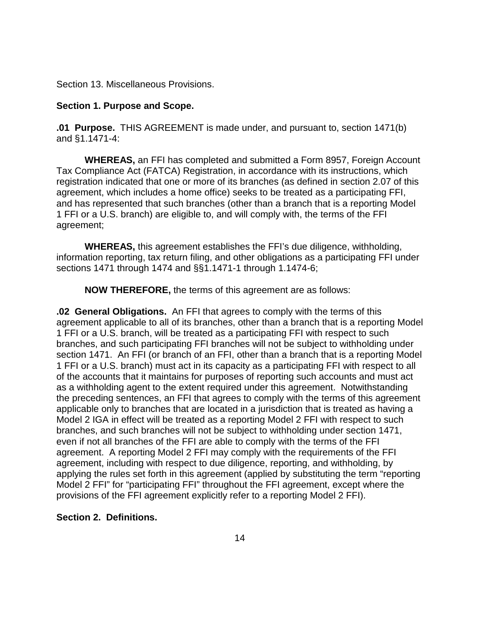Section 13. Miscellaneous Provisions.

# **Section 1. Purpose and Scope.**

**.01 Purpose.** THIS AGREEMENT is made under, and pursuant to, section 1471(b) and §1.1471-4:

**WHEREAS,** an FFI has completed and submitted a Form 8957, Foreign Account Tax Compliance Act (FATCA) Registration, in accordance with its instructions, which registration indicated that one or more of its branches (as defined in section 2.07 of this agreement, which includes a home office) seeks to be treated as a participating FFI, and has represented that such branches (other than a branch that is a reporting Model 1 FFI or a U.S. branch) are eligible to, and will comply with, the terms of the FFI agreement;

**WHEREAS,** this agreement establishes the FFI's due diligence, withholding, information reporting, tax return filing, and other obligations as a participating FFI under sections 1471 through 1474 and §§1.1471-1 through 1.1474-6;

**NOW THEREFORE,** the terms of this agreement are as follows:

**.02 General Obligations.** An FFI that agrees to comply with the terms of this agreement applicable to all of its branches, other than a branch that is a reporting Model 1 FFI or a U.S. branch, will be treated as a participating FFI with respect to such branches, and such participating FFI branches will not be subject to withholding under section 1471. An FFI (or branch of an FFI, other than a branch that is a reporting Model 1 FFI or a U.S. branch) must act in its capacity as a participating FFI with respect to all of the accounts that it maintains for purposes of reporting such accounts and must act as a withholding agent to the extent required under this agreement. Notwithstanding the preceding sentences, an FFI that agrees to comply with the terms of this agreement applicable only to branches that are located in a jurisdiction that is treated as having a Model 2 IGA in effect will be treated as a reporting Model 2 FFI with respect to such branches, and such branches will not be subject to withholding under section 1471, even if not all branches of the FFI are able to comply with the terms of the FFI agreement. A reporting Model 2 FFI may comply with the requirements of the FFI agreement, including with respect to due diligence, reporting, and withholding, by applying the rules set forth in this agreement (applied by substituting the term "reporting Model 2 FFI" for "participating FFI" throughout the FFI agreement, except where the provisions of the FFI agreement explicitly refer to a reporting Model 2 FFI).

# **Section 2. Definitions.**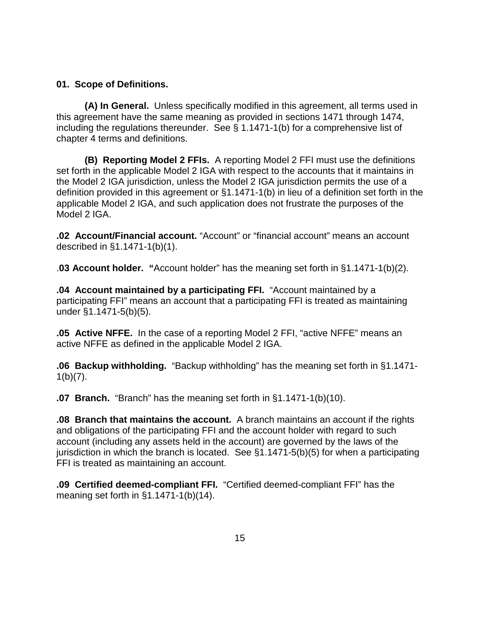# **01. Scope of Definitions.**

**(A) In General.** Unless specifically modified in this agreement, all terms used in this agreement have the same meaning as provided in sections 1471 through 1474, including the regulations thereunder. See § 1.1471-1(b) for a comprehensive list of chapter 4 terms and definitions.

**(B) Reporting Model 2 FFIs.** A reporting Model 2 FFI must use the definitions set forth in the applicable Model 2 IGA with respect to the accounts that it maintains in the Model 2 IGA jurisdiction, unless the Model 2 IGA jurisdiction permits the use of a definition provided in this agreement or §1.1471-1(b) in lieu of a definition set forth in the applicable Model 2 IGA, and such application does not frustrate the purposes of the Model 2 IGA.

**.02 Account/Financial account.** "Account" or "financial account" means an account described in §1.1471-1(b)(1).

.**03 Account holder. "**Account holder" has the meaning set forth in §1.1471-1(b)(2).

**.04 Account maintained by a participating FFI.** "Account maintained by a participating FFI" means an account that a participating FFI is treated as maintaining under §1.1471-5(b)(5).

**.05 Active NFFE.** In the case of a reporting Model 2 FFI, "active NFFE" means an active NFFE as defined in the applicable Model 2 IGA.

**.06 Backup withholding.** "Backup withholding" has the meaning set forth in §1.1471-  $1(b)(7)$ .

**.07 Branch.** "Branch" has the meaning set forth in §1.1471-1(b)(10).

**.08 Branch that maintains the account.** A branch maintains an account if the rights and obligations of the participating FFI and the account holder with regard to such account (including any assets held in the account) are governed by the laws of the jurisdiction in which the branch is located. See §1.1471-5(b)(5) for when a participating FFI is treated as maintaining an account.

**.09 Certified deemed-compliant FFI.** "Certified deemed-compliant FFI" has the meaning set forth in §1.1471-1(b)(14).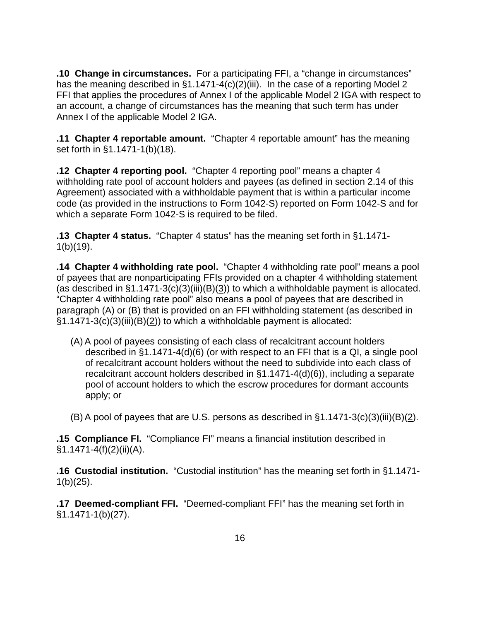**.10 Change in circumstances.** For a participating FFI, a "change in circumstances" has the meaning described in §1.1471-4(c)(2)(iii). In the case of a reporting Model 2 FFI that applies the procedures of Annex I of the applicable Model 2 IGA with respect to an account, a change of circumstances has the meaning that such term has under Annex I of the applicable Model 2 IGA.

**.11 Chapter 4 reportable amount.** "Chapter 4 reportable amount" has the meaning set forth in §1.1471-1(b)(18).

**.12 Chapter 4 reporting pool.** "Chapter 4 reporting pool" means a chapter 4 withholding rate pool of account holders and payees (as defined in section 2.14 of this Agreement) associated with a withholdable payment that is within a particular income code (as provided in the instructions to Form 1042-S) reported on Form 1042-S and for which a separate Form 1042-S is required to be filed.

**.13 Chapter 4 status.** "Chapter 4 status" has the meaning set forth in §1.1471-  $1(b)(19)$ .

**.14 Chapter 4 withholding rate pool.** "Chapter 4 withholding rate pool" means a pool of payees that are nonparticipating FFIs provided on a chapter 4 withholding statement (as described in  $\S1.1471-3(c)(3)(iii)(B)(3))$  to which a withholdable payment is allocated. "Chapter 4 withholding rate pool" also means a pool of payees that are described in paragraph (A) or (B) that is provided on an FFI withholding statement (as described in §1.1471-3(c)(3)(iii)(B)(2)) to which a withholdable payment is allocated:

(A) A pool of payees consisting of each class of recalcitrant account holders described in §1.1471-4(d)(6) (or with respect to an FFI that is a QI, a single pool of recalcitrant account holders without the need to subdivide into each class of recalcitrant account holders described in §1.1471-4(d)(6)), including a separate pool of account holders to which the escrow procedures for dormant accounts apply; or

 $(B)$  A pool of payees that are U.S. persons as described in  $\S1.1471-3(c)(3)(iii)(B)(2)$ .

**.15 Compliance FI.** "Compliance FI" means a financial institution described in  $§1.1471-4(f)(2)(ii)(A).$ 

**.16 Custodial institution.** "Custodial institution" has the meaning set forth in §1.1471-  $1(b)(25)$ .

**.17 Deemed-compliant FFI.** "Deemed-compliant FFI" has the meaning set forth in §1.1471-1(b)(27).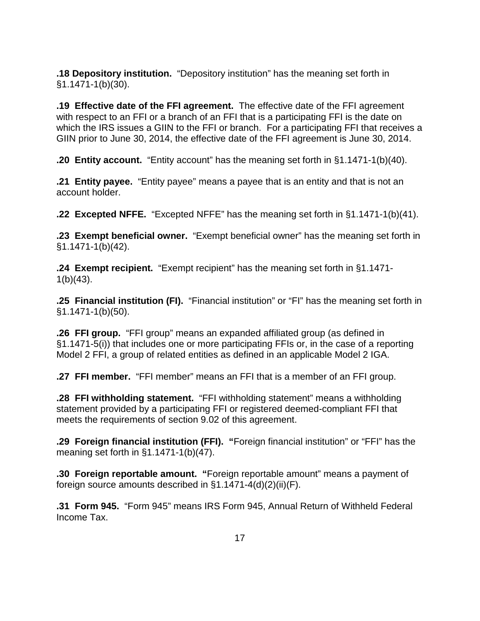**.18 Depository institution.** "Depository institution" has the meaning set forth in §1.1471-1(b)(30).

**.19 Effective date of the FFI agreement.** The effective date of the FFI agreement with respect to an FFI or a branch of an FFI that is a participating FFI is the date on which the IRS issues a GIIN to the FFI or branch. For a participating FFI that receives a GIIN prior to June 30, 2014, the effective date of the FFI agreement is June 30, 2014.

**.20 Entity account.** "Entity account" has the meaning set forth in §1.1471-1(b)(40).

**.21 Entity payee.** "Entity payee" means a payee that is an entity and that is not an account holder.

**.22 Excepted NFFE.** "Excepted NFFE" has the meaning set forth in §1.1471-1(b)(41).

**.23 Exempt beneficial owner.** "Exempt beneficial owner" has the meaning set forth in §1.1471-1(b)(42).

**.24 Exempt recipient.** "Exempt recipient" has the meaning set forth in §1.1471-  $1(b)(43)$ .

**.25 Financial institution (FI).** "Financial institution" or "FI" has the meaning set forth in §1.1471-1(b)(50).

**.26 FFI group.** "FFI group" means an expanded affiliated group (as defined in §1.1471-5(i)) that includes one or more participating FFIs or, in the case of a reporting Model 2 FFI, a group of related entities as defined in an applicable Model 2 IGA.

**.27 FFI member.** "FFI member" means an FFI that is a member of an FFI group.

**.28 FFI withholding statement.** "FFI withholding statement" means a withholding statement provided by a participating FFI or registered deemed-compliant FFI that meets the requirements of section 9.02 of this agreement.

**.29 Foreign financial institution (FFI). "**Foreign financial institution" or "FFI" has the meaning set forth in §1.1471-1(b)(47).

**.30 Foreign reportable amount. "**Foreign reportable amount" means a payment of foreign source amounts described in §1.1471-4(d)(2)(ii)(F).

**.31 Form 945.** "Form 945" means IRS Form 945, Annual Return of Withheld Federal Income Tax.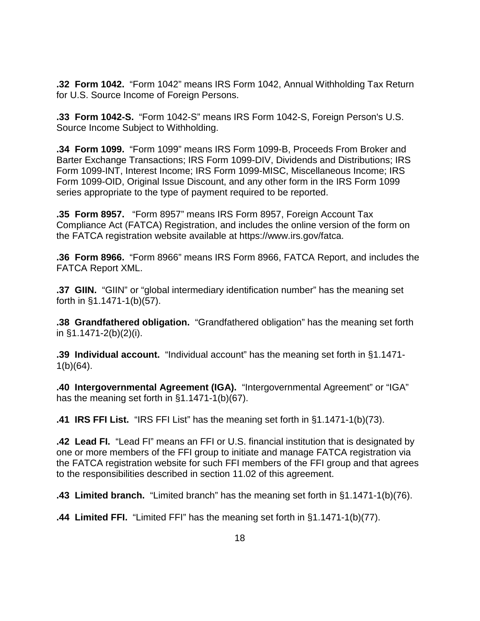**.32 Form 1042.** "Form 1042" means IRS Form 1042, Annual Withholding Tax Return for U.S. Source Income of Foreign Persons.

**.33 Form 1042-S.** "Form 1042-S" means IRS Form 1042-S, Foreign Person's U.S. Source Income Subject to Withholding.

**.34 Form 1099.** "Form 1099" means IRS Form 1099-B, Proceeds From Broker and Barter Exchange Transactions; IRS Form 1099-DIV, Dividends and Distributions; IRS Form 1099-INT, Interest Income; IRS Form 1099-MISC, Miscellaneous Income; IRS Form 1099-OID, Original Issue Discount, and any other form in the IRS Form 1099 series appropriate to the type of payment required to be reported.

**.35 Form 8957.** "Form 8957" means IRS Form 8957, Foreign Account Tax Compliance Act (FATCA) Registration, and includes the online version of the form on the FATCA registration website available at https://www.irs.gov/fatca.

**.36 Form 8966.** "Form 8966" means IRS Form 8966, FATCA Report, and includes the FATCA Report XML.

**.37 GIIN.** "GIIN" or "global intermediary identification number" has the meaning set forth in §1.1471-1(b)(57).

**.38 Grandfathered obligation.** "Grandfathered obligation" has the meaning set forth in §1.1471-2(b)(2)(i).

**.39 Individual account.** "Individual account" has the meaning set forth in §1.1471- 1(b)(64).

**.40 Intergovernmental Agreement (IGA).** "Intergovernmental Agreement" or "IGA" has the meaning set forth in §1.1471-1(b)(67).

**.41 IRS FFI List.** "IRS FFI List" has the meaning set forth in §1.1471-1(b)(73).

**.42 Lead FI.** "Lead FI" means an FFI or U.S. financial institution that is designated by one or more members of the FFI group to initiate and manage FATCA registration via the FATCA registration website for such FFI members of the FFI group and that agrees to the responsibilities described in section 11.02 of this agreement.

**.43 Limited branch.** "Limited branch" has the meaning set forth in §1.1471-1(b)(76).

**.44 Limited FFI.** "Limited FFI" has the meaning set forth in §1.1471-1(b)(77).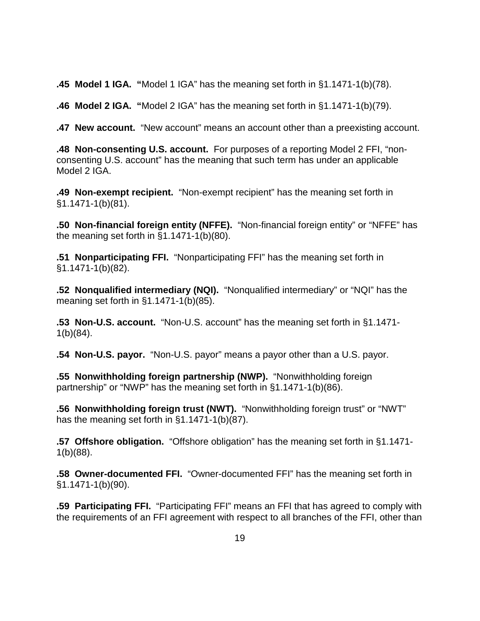**.45 Model 1 IGA. "**Model 1 IGA" has the meaning set forth in §1.1471-1(b)(78).

**.46 Model 2 IGA. "**Model 2 IGA" has the meaning set forth in §1.1471-1(b)(79).

**.47 New account.** "New account" means an account other than a preexisting account.

**.48 Non-consenting U.S. account.** For purposes of a reporting Model 2 FFI, "nonconsenting U.S. account" has the meaning that such term has under an applicable Model 2 IGA.

**.49 Non-exempt recipient.** "Non-exempt recipient" has the meaning set forth in §1.1471-1(b)(81).

**.50 Non-financial foreign entity (NFFE).** "Non-financial foreign entity" or "NFFE" has the meaning set forth in §1.1471-1(b)(80).

**.51 Nonparticipating FFI.** "Nonparticipating FFI" has the meaning set forth in §1.1471-1(b)(82).

**.52 Nonqualified intermediary (NQI).** "Nonqualified intermediary" or "NQI" has the meaning set forth in §1.1471-1(b)(85).

**.53 Non-U.S. account.** "Non-U.S. account" has the meaning set forth in §1.1471- 1(b)(84).

**.54 Non-U.S. payor.** "Non-U.S. payor" means a payor other than a U.S. payor.

**.55 Nonwithholding foreign partnership (NWP).** "Nonwithholding foreign partnership" or "NWP" has the meaning set forth in §1.1471-1(b)(86).

**.56 Nonwithholding foreign trust (NWT).** "Nonwithholding foreign trust" or "NWT" has the meaning set forth in §1.1471-1(b)(87).

**.57 Offshore obligation.** "Offshore obligation" has the meaning set forth in §1.1471- 1(b)(88).

**.58 Owner-documented FFI.** "Owner-documented FFI" has the meaning set forth in §1.1471-1(b)(90).

**.59 Participating FFI.** "Participating FFI" means an FFI that has agreed to comply with the requirements of an FFI agreement with respect to all branches of the FFI, other than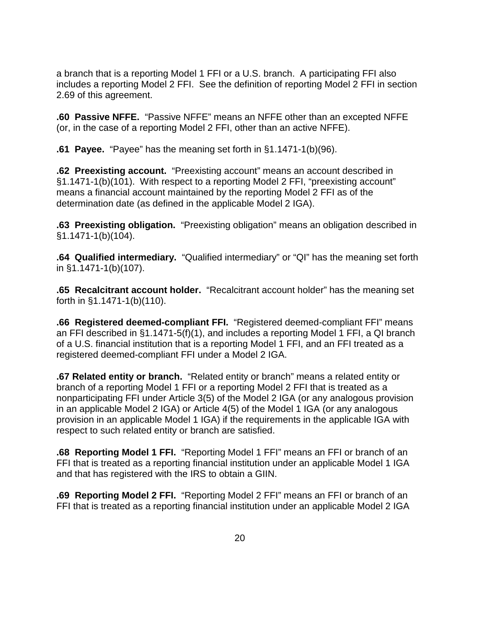a branch that is a reporting Model 1 FFI or a U.S. branch. A participating FFI also includes a reporting Model 2 FFI. See the definition of reporting Model 2 FFI in section 2.69 of this agreement.

**.60 Passive NFFE.** "Passive NFFE" means an NFFE other than an excepted NFFE (or, in the case of a reporting Model 2 FFI, other than an active NFFE).

**.61 Payee.** "Payee" has the meaning set forth in §1.1471-1(b)(96).

**.62 Preexisting account.** "Preexisting account" means an account described in §1.1471-1(b)(101). With respect to a reporting Model 2 FFI, "preexisting account" means a financial account maintained by the reporting Model 2 FFI as of the determination date (as defined in the applicable Model 2 IGA).

**.63 Preexisting obligation.** "Preexisting obligation" means an obligation described in §1.1471-1(b)(104).

**.64 Qualified intermediary.** "Qualified intermediary" or "QI" has the meaning set forth in §1.1471-1(b)(107).

**.65 Recalcitrant account holder.** "Recalcitrant account holder" has the meaning set forth in §1.1471-1(b)(110).

**.66 Registered deemed-compliant FFI.** "Registered deemed-compliant FFI" means an FFI described in §1.1471-5(f)(1), and includes a reporting Model 1 FFI, a QI branch of a U.S. financial institution that is a reporting Model 1 FFI, and an FFI treated as a registered deemed-compliant FFI under a Model 2 IGA.

**.67 Related entity or branch.** "Related entity or branch" means a related entity or branch of a reporting Model 1 FFI or a reporting Model 2 FFI that is treated as a nonparticipating FFI under Article 3(5) of the Model 2 IGA (or any analogous provision in an applicable Model 2 IGA) or Article 4(5) of the Model 1 IGA (or any analogous provision in an applicable Model 1 IGA) if the requirements in the applicable IGA with respect to such related entity or branch are satisfied.

**.68 Reporting Model 1 FFI.** "Reporting Model 1 FFI" means an FFI or branch of an FFI that is treated as a reporting financial institution under an applicable Model 1 IGA and that has registered with the IRS to obtain a GIIN.

**.69 Reporting Model 2 FFI.** "Reporting Model 2 FFI" means an FFI or branch of an FFI that is treated as a reporting financial institution under an applicable Model 2 IGA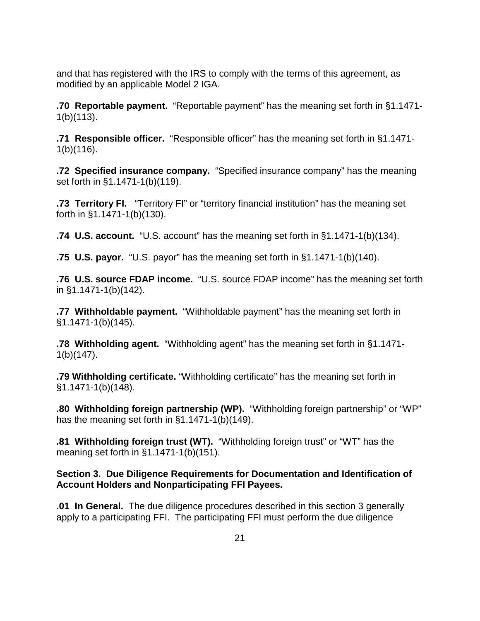and that has registered with the IRS to comply with the terms of this agreement, as modified by an applicable Model 2 IGA.

**.70 Reportable payment.** "Reportable payment" has the meaning set forth in §1.1471- 1(b)(113).

**.71 Responsible officer.** "Responsible officer" has the meaning set forth in §1.1471- 1(b)(116).

**.72 Specified insurance company.** "Specified insurance company" has the meaning set forth in §1.1471-1(b)(119).

**.73 Territory FI.** "Territory FI" or "territory financial institution" has the meaning set forth in §1.1471-1(b)(130).

**.74 U.S. account.** "U.S. account" has the meaning set forth in §1.1471-1(b)(134).

**.75 U.S. payor.** "U.S. payor" has the meaning set forth in §1.1471-1(b)(140).

**.76 U.S. source FDAP income.** "U.S. source FDAP income" has the meaning set forth in §1.1471-1(b)(142).

**.77 Withholdable payment.** "Withholdable payment" has the meaning set forth in §1.1471-1(b)(145).

**.78 Withholding agent.** "Withholding agent" has the meaning set forth in §1.1471- 1(b)(147).

**.79 Withholding certificate.** "Withholding certificate" has the meaning set forth in §1.1471-1(b)(148).

**.80 Withholding foreign partnership (WP).** "Withholding foreign partnership" or "WP" has the meaning set forth in §1.1471-1(b)(149).

**.81 Withholding foreign trust (WT).** "Withholding foreign trust" or "WT" has the meaning set forth in §1.1471-1(b)(151).

# **Section 3. Due Diligence Requirements for Documentation and Identification of Account Holders and Nonparticipating FFI Payees.**

**.01 In General.** The due diligence procedures described in this section 3 generally apply to a participating FFI. The participating FFI must perform the due diligence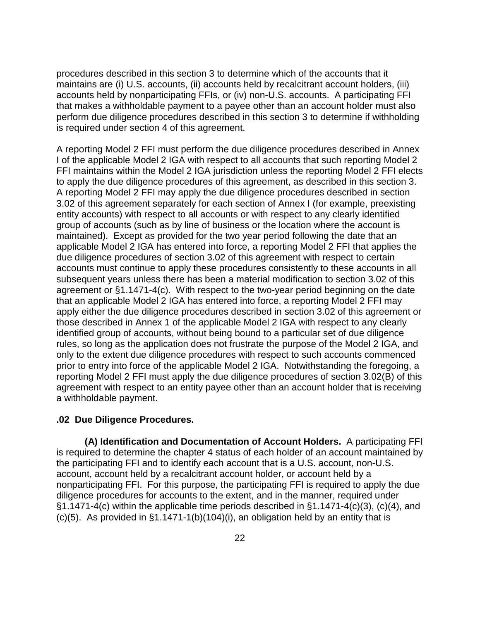procedures described in this section 3 to determine which of the accounts that it maintains are (i) U.S. accounts, (ii) accounts held by recalcitrant account holders, (iii) accounts held by nonparticipating FFIs, or (iv) non-U.S. accounts. A participating FFI that makes a withholdable payment to a payee other than an account holder must also perform due diligence procedures described in this section 3 to determine if withholding is required under section 4 of this agreement.

A reporting Model 2 FFI must perform the due diligence procedures described in Annex I of the applicable Model 2 IGA with respect to all accounts that such reporting Model 2 FFI maintains within the Model 2 IGA jurisdiction unless the reporting Model 2 FFI elects to apply the due diligence procedures of this agreement, as described in this section 3. A reporting Model 2 FFI may apply the due diligence procedures described in section 3.02 of this agreement separately for each section of Annex I (for example, preexisting entity accounts) with respect to all accounts or with respect to any clearly identified group of accounts (such as by line of business or the location where the account is maintained). Except as provided for the two year period following the date that an applicable Model 2 IGA has entered into force, a reporting Model 2 FFI that applies the due diligence procedures of section 3.02 of this agreement with respect to certain accounts must continue to apply these procedures consistently to these accounts in all subsequent years unless there has been a material modification to section 3.02 of this agreement or §1.1471-4(c). With respect to the two-year period beginning on the date that an applicable Model 2 IGA has entered into force, a reporting Model 2 FFI may apply either the due diligence procedures described in section 3.02 of this agreement or those described in Annex 1 of the applicable Model 2 IGA with respect to any clearly identified group of accounts, without being bound to a particular set of due diligence rules, so long as the application does not frustrate the purpose of the Model 2 IGA, and only to the extent due diligence procedures with respect to such accounts commenced prior to entry into force of the applicable Model 2 IGA. Notwithstanding the foregoing, a reporting Model 2 FFI must apply the due diligence procedures of section 3.02(B) of this agreement with respect to an entity payee other than an account holder that is receiving a withholdable payment.

## **.02 Due Diligence Procedures.**

**(A) Identification and Documentation of Account Holders.** A participating FFI is required to determine the chapter 4 status of each holder of an account maintained by the participating FFI and to identify each account that is a U.S. account, non-U.S. account, account held by a recalcitrant account holder, or account held by a nonparticipating FFI. For this purpose, the participating FFI is required to apply the due diligence procedures for accounts to the extent, and in the manner, required under §1.1471-4(c) within the applicable time periods described in §1.1471-4(c)(3), (c)(4), and (c)(5). As provided in §1.1471-1(b)(104)(i), an obligation held by an entity that is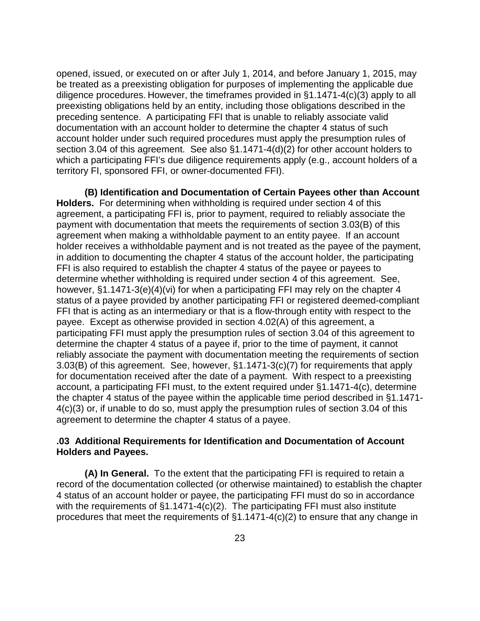opened, issued, or executed on or after July 1, 2014, and before January 1, 2015, may be treated as a preexisting obligation for purposes of implementing the applicable due diligence procedures. However, the timeframes provided in §1.1471-4(c)(3) apply to all preexisting obligations held by an entity, including those obligations described in the preceding sentence. A participating FFI that is unable to reliably associate valid documentation with an account holder to determine the chapter 4 status of such account holder under such required procedures must apply the presumption rules of section 3.04 of this agreement. See also §1.1471-4(d)(2) for other account holders to which a participating FFI's due diligence requirements apply (e.g., account holders of a territory FI, sponsored FFI, or owner-documented FFI).

**(B) Identification and Documentation of Certain Payees other than Account Holders.** For determining when withholding is required under section 4 of this agreement, a participating FFI is, prior to payment, required to reliably associate the payment with documentation that meets the requirements of section 3.03(B) of this agreement when making a withholdable payment to an entity payee. If an account holder receives a withholdable payment and is not treated as the payee of the payment, in addition to documenting the chapter 4 status of the account holder, the participating FFI is also required to establish the chapter 4 status of the payee or payees to determine whether withholding is required under section 4 of this agreement. See, however, §1.1471-3(e)(4)(vi) for when a participating FFI may rely on the chapter 4 status of a payee provided by another participating FFI or registered deemed-compliant FFI that is acting as an intermediary or that is a flow-through entity with respect to the payee. Except as otherwise provided in section 4.02(A) of this agreement, a participating FFI must apply the presumption rules of section 3.04 of this agreement to determine the chapter 4 status of a payee if, prior to the time of payment, it cannot reliably associate the payment with documentation meeting the requirements of section 3.03(B) of this agreement. See, however, §1.1471-3(c)(7) for requirements that apply for documentation received after the date of a payment. With respect to a preexisting account, a participating FFI must, to the extent required under §1.1471-4(c), determine the chapter 4 status of the payee within the applicable time period described in §1.1471- 4(c)(3) or, if unable to do so, must apply the presumption rules of section 3.04 of this agreement to determine the chapter 4 status of a payee.

# **.03 Additional Requirements for Identification and Documentation of Account Holders and Payees.**

**(A) In General.** To the extent that the participating FFI is required to retain a record of the documentation collected (or otherwise maintained) to establish the chapter 4 status of an account holder or payee, the participating FFI must do so in accordance with the requirements of §1.1471-4(c)(2).The participating FFI must also institute procedures that meet the requirements of §1.1471-4(c)(2) to ensure that any change in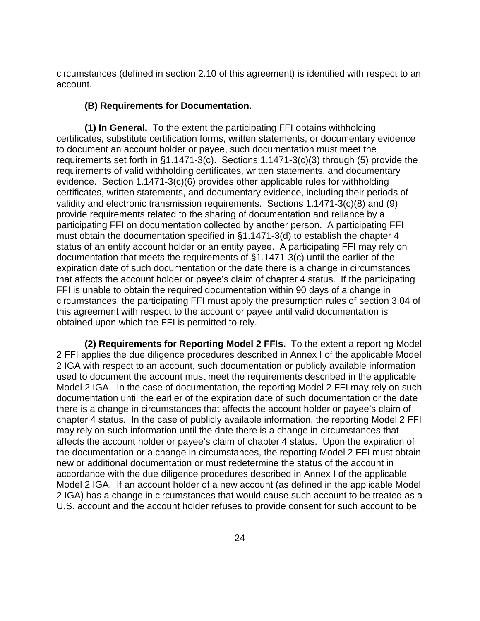circumstances (defined in section 2.10 of this agreement) is identified with respect to an account.

## **(B) Requirements for Documentation.**

**(1) In General.** To the extent the participating FFI obtains withholding certificates, substitute certification forms, written statements, or documentary evidence to document an account holder or payee, such documentation must meet the requirements set forth in §1.1471-3(c). Sections 1.1471-3(c)(3) through (5) provide the requirements of valid withholding certificates, written statements, and documentary evidence. Section 1.1471-3(c)(6) provides other applicable rules for withholding certificates, written statements, and documentary evidence, including their periods of validity and electronic transmission requirements. Sections 1.1471-3(c)(8) and (9) provide requirements related to the sharing of documentation and reliance by a participating FFI on documentation collected by another person. A participating FFI must obtain the documentation specified in §1.1471-3(d) to establish the chapter 4 status of an entity account holder or an entity payee. A participating FFI may rely on documentation that meets the requirements of §1.1471-3(c) until the earlier of the expiration date of such documentation or the date there is a change in circumstances that affects the account holder or payee's claim of chapter 4 status. If the participating FFI is unable to obtain the required documentation within 90 days of a change in circumstances, the participating FFI must apply the presumption rules of section 3.04 of this agreement with respect to the account or payee until valid documentation is obtained upon which the FFI is permitted to rely.

**(2) Requirements for Reporting Model 2 FFIs.** To the extent a reporting Model 2 FFI applies the due diligence procedures described in Annex I of the applicable Model 2 IGA with respect to an account, such documentation or publicly available information used to document the account must meet the requirements described in the applicable Model 2 IGA. In the case of documentation, the reporting Model 2 FFI may rely on such documentation until the earlier of the expiration date of such documentation or the date there is a change in circumstances that affects the account holder or payee's claim of chapter 4 status. In the case of publicly available information, the reporting Model 2 FFI may rely on such information until the date there is a change in circumstances that affects the account holder or payee's claim of chapter 4 status. Upon the expiration of the documentation or a change in circumstances, the reporting Model 2 FFI must obtain new or additional documentation or must redetermine the status of the account in accordance with the due diligence procedures described in Annex I of the applicable Model 2 IGA. If an account holder of a new account (as defined in the applicable Model 2 IGA) has a change in circumstances that would cause such account to be treated as a U.S. account and the account holder refuses to provide consent for such account to be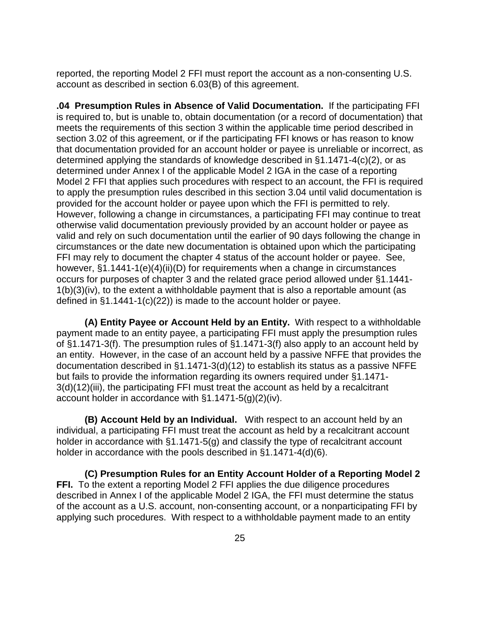reported, the reporting Model 2 FFI must report the account as a non-consenting U.S. account as described in section 6.03(B) of this agreement.

**.04 Presumption Rules in Absence of Valid Documentation.** If the participating FFI is required to, but is unable to, obtain documentation (or a record of documentation) that meets the requirements of this section 3 within the applicable time period described in section 3.02 of this agreement, or if the participating FFI knows or has reason to know that documentation provided for an account holder or payee is unreliable or incorrect, as determined applying the standards of knowledge described in §1.1471-4(c)(2), or as determined under Annex I of the applicable Model 2 IGA in the case of a reporting Model 2 FFI that applies such procedures with respect to an account, the FFI is required to apply the presumption rules described in this section 3.04 until valid documentation is provided for the account holder or payee upon which the FFI is permitted to rely. However, following a change in circumstances, a participating FFI may continue to treat otherwise valid documentation previously provided by an account holder or payee as valid and rely on such documentation until the earlier of 90 days following the change in circumstances or the date new documentation is obtained upon which the participating FFI may rely to document the chapter 4 status of the account holder or payee. See, however, §1.1441-1(e)(4)(ii)(D) for requirements when a change in circumstances occurs for purposes of chapter 3 and the related grace period allowed under §1.1441- 1(b)(3)(iv), to the extent a withholdable payment that is also a reportable amount (as defined in §1.1441-1(c)(22)) is made to the account holder or payee.

**(A) Entity Payee or Account Held by an Entity.** With respect to a withholdable payment made to an entity payee, a participating FFI must apply the presumption rules of §1.1471-3(f). The presumption rules of §1.1471-3(f) also apply to an account held by an entity. However, in the case of an account held by a passive NFFE that provides the documentation described in §1.1471-3(d)(12) to establish its status as a passive NFFE but fails to provide the information regarding its owners required under §1.1471- 3(d)(12)(iii), the participating FFI must treat the account as held by a recalcitrant account holder in accordance with §1.1471-5(g)(2)(iv).

**(B) Account Held by an Individual.** With respect to an account held by an individual, a participating FFI must treat the account as held by a recalcitrant account holder in accordance with §1.1471-5(g) and classify the type of recalcitrant account holder in accordance with the pools described in §1.1471-4(d)(6).

**(C) Presumption Rules for an Entity Account Holder of a Reporting Model 2 FFI.** To the extent a reporting Model 2 FFI applies the due diligence procedures described in Annex I of the applicable Model 2 IGA, the FFI must determine the status of the account as a U.S. account, non-consenting account, or a nonparticipating FFI by applying such procedures. With respect to a withholdable payment made to an entity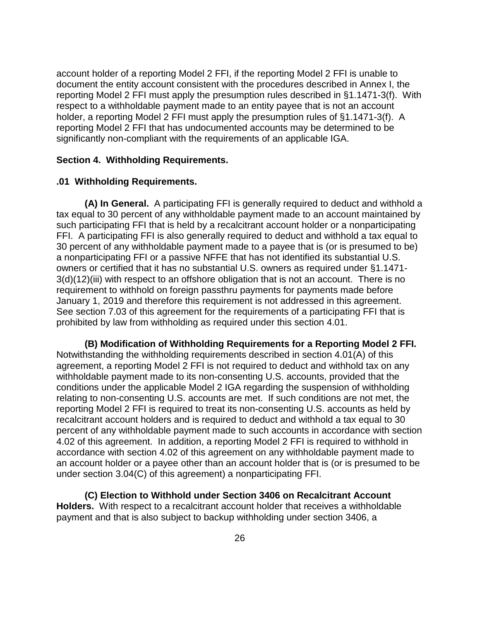account holder of a reporting Model 2 FFI, if the reporting Model 2 FFI is unable to document the entity account consistent with the procedures described in Annex I, the reporting Model 2 FFI must apply the presumption rules described in §1.1471-3(f). With respect to a withholdable payment made to an entity payee that is not an account holder, a reporting Model 2 FFI must apply the presumption rules of §1.1471-3(f). A reporting Model 2 FFI that has undocumented accounts may be determined to be significantly non-compliant with the requirements of an applicable IGA.

# **Section 4. Withholding Requirements.**

#### **.01 Withholding Requirements.**

**(A) In General.** A participating FFI is generally required to deduct and withhold a tax equal to 30 percent of any withholdable payment made to an account maintained by such participating FFI that is held by a recalcitrant account holder or a nonparticipating FFI. A participating FFI is also generally required to deduct and withhold a tax equal to 30 percent of any withholdable payment made to a payee that is (or is presumed to be) a nonparticipating FFI or a passive NFFE that has not identified its substantial U.S. owners or certified that it has no substantial U.S. owners as required under §1.1471- 3(d)(12)(iii) with respect to an offshore obligation that is not an account. There is no requirement to withhold on foreign passthru payments for payments made before January 1, 2019 and therefore this requirement is not addressed in this agreement. See section 7.03 of this agreement for the requirements of a participating FFI that is prohibited by law from withholding as required under this section 4.01.

**(B) Modification of Withholding Requirements for a Reporting Model 2 FFI.**  Notwithstanding the withholding requirements described in section 4.01(A) of this agreement, a reporting Model 2 FFI is not required to deduct and withhold tax on any withholdable payment made to its non-consenting U.S. accounts, provided that the conditions under the applicable Model 2 IGA regarding the suspension of withholding relating to non-consenting U.S. accounts are met. If such conditions are not met, the reporting Model 2 FFI is required to treat its non-consenting U.S. accounts as held by recalcitrant account holders and is required to deduct and withhold a tax equal to 30 percent of any withholdable payment made to such accounts in accordance with section 4.02 of this agreement. In addition, a reporting Model 2 FFI is required to withhold in accordance with section 4.02 of this agreement on any withholdable payment made to an account holder or a payee other than an account holder that is (or is presumed to be under section 3.04(C) of this agreement) a nonparticipating FFI.

**(C) Election to Withhold under Section 3406 on Recalcitrant Account Holders.** With respect to a recalcitrant account holder that receives a withholdable payment and that is also subject to backup withholding under section 3406, a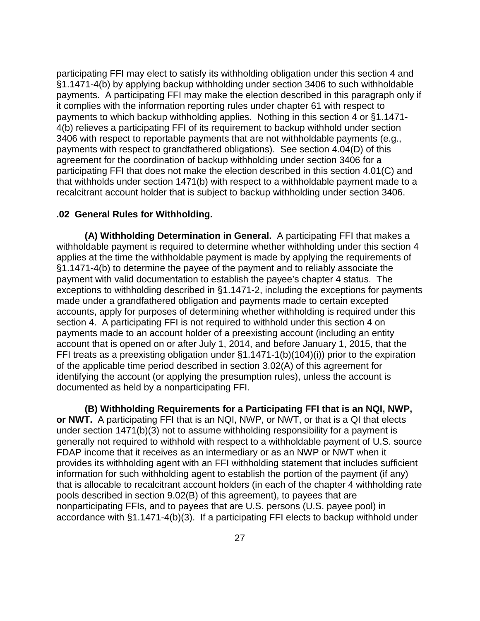participating FFI may elect to satisfy its withholding obligation under this section 4 and §1.1471-4(b) by applying backup withholding under section 3406 to such withholdable payments. A participating FFI may make the election described in this paragraph only if it complies with the information reporting rules under chapter 61 with respect to payments to which backup withholding applies. Nothing in this section 4 or §1.1471- 4(b) relieves a participating FFI of its requirement to backup withhold under section 3406 with respect to reportable payments that are not withholdable payments (e.g., payments with respect to grandfathered obligations). See section 4.04(D) of this agreement for the coordination of backup withholding under section 3406 for a participating FFI that does not make the election described in this section 4.01(C) and that withholds under section 1471(b) with respect to a withholdable payment made to a recalcitrant account holder that is subject to backup withholding under section 3406.

#### **.02 General Rules for Withholding.**

**(A) Withholding Determination in General.** A participating FFI that makes a withholdable payment is required to determine whether withholding under this section 4 applies at the time the withholdable payment is made by applying the requirements of §1.1471-4(b) to determine the payee of the payment and to reliably associate the payment with valid documentation to establish the payee's chapter 4 status. The exceptions to withholding described in §1.1471-2, including the exceptions for payments made under a grandfathered obligation and payments made to certain excepted accounts, apply for purposes of determining whether withholding is required under this section 4. A participating FFI is not required to withhold under this section 4 on payments made to an account holder of a preexisting account (including an entity account that is opened on or after July 1, 2014, and before January 1, 2015, that the FFI treats as a preexisting obligation under §1.1471-1(b)(104)(i)) prior to the expiration of the applicable time period described in section 3.02(A) of this agreement for identifying the account (or applying the presumption rules), unless the account is documented as held by a nonparticipating FFI.

**(B) Withholding Requirements for a Participating FFI that is an NQI, NWP, or NWT.** A participating FFI that is an NQI, NWP, or NWT, or that is a QI that elects under section 1471(b)(3) not to assume withholding responsibility for a payment is generally not required to withhold with respect to a withholdable payment of U.S. source FDAP income that it receives as an intermediary or as an NWP or NWT when it provides its withholding agent with an FFI withholding statement that includes sufficient information for such withholding agent to establish the portion of the payment (if any) that is allocable to recalcitrant account holders (in each of the chapter 4 withholding rate pools described in section 9.02(B) of this agreement), to payees that are nonparticipating FFIs, and to payees that are U.S. persons (U.S. payee pool) in accordance with §1.1471-4(b)(3). If a participating FFI elects to backup withhold under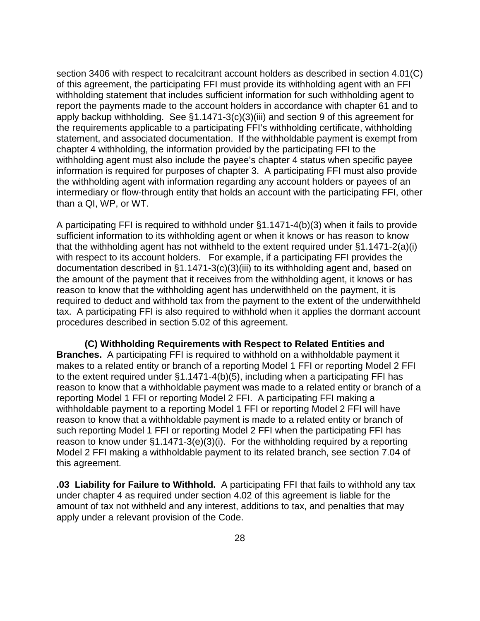section 3406 with respect to recalcitrant account holders as described in section 4.01(C) of this agreement, the participating FFI must provide its withholding agent with an FFI withholding statement that includes sufficient information for such withholding agent to report the payments made to the account holders in accordance with chapter 61 and to apply backup withholding. See §1.1471-3(c)(3)(iii) and section 9 of this agreement for the requirements applicable to a participating FFI's withholding certificate, withholding statement, and associated documentation. If the withholdable payment is exempt from chapter 4 withholding, the information provided by the participating FFI to the withholding agent must also include the payee's chapter 4 status when specific payee information is required for purposes of chapter 3. A participating FFI must also provide the withholding agent with information regarding any account holders or payees of an intermediary or flow-through entity that holds an account with the participating FFI, other than a QI, WP, or WT.

A participating FFI is required to withhold under §1.1471-4(b)(3) when it fails to provide sufficient information to its withholding agent or when it knows or has reason to know that the withholding agent has not withheld to the extent required under §1.1471-2(a)(i) with respect to its account holders. For example, if a participating FFI provides the documentation described in §1.1471-3(c)(3)(iii) to its withholding agent and, based on the amount of the payment that it receives from the withholding agent, it knows or has reason to know that the withholding agent has underwithheld on the payment, it is required to deduct and withhold tax from the payment to the extent of the underwithheld tax. A participating FFI is also required to withhold when it applies the dormant account procedures described in section 5.02 of this agreement.

**(C) Withholding Requirements with Respect to Related Entities and Branches.** A participating FFI is required to withhold on a withholdable payment it makes to a related entity or branch of a reporting Model 1 FFI or reporting Model 2 FFI to the extent required under §1.1471-4(b)(5), including when a participating FFI has reason to know that a withholdable payment was made to a related entity or branch of a reporting Model 1 FFI or reporting Model 2 FFI. A participating FFI making a withholdable payment to a reporting Model 1 FFI or reporting Model 2 FFI will have reason to know that a withholdable payment is made to a related entity or branch of such reporting Model 1 FFI or reporting Model 2 FFI when the participating FFI has reason to know under §1.1471-3(e)(3)(i). For the withholding required by a reporting Model 2 FFI making a withholdable payment to its related branch, see section 7.04 of this agreement.

**.03 Liability for Failure to Withhold.** A participating FFI that fails to withhold any tax under chapter 4 as required under section 4.02 of this agreement is liable for the amount of tax not withheld and any interest, additions to tax, and penalties that may apply under a relevant provision of the Code.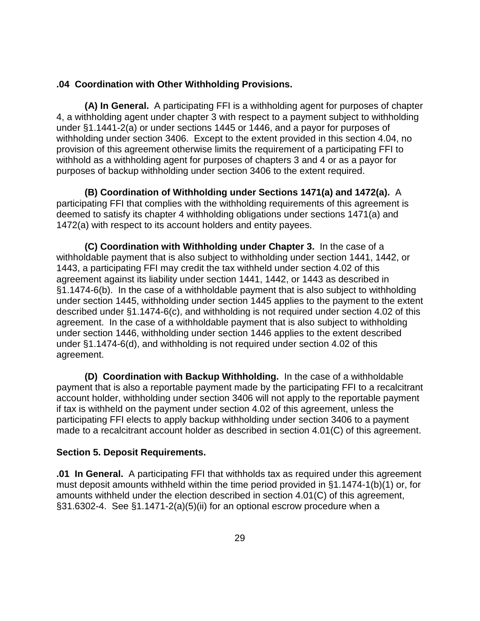# **.04 Coordination with Other Withholding Provisions.**

**(A) In General.** A participating FFI is a withholding agent for purposes of chapter 4, a withholding agent under chapter 3 with respect to a payment subject to withholding under §1.1441-2(a) or under sections 1445 or 1446, and a payor for purposes of withholding under section 3406. Except to the extent provided in this section 4.04, no provision of this agreement otherwise limits the requirement of a participating FFI to withhold as a withholding agent for purposes of chapters 3 and 4 or as a payor for purposes of backup withholding under section 3406 to the extent required.

**(B) Coordination of Withholding under Sections 1471(a) and 1472(a).** A participating FFI that complies with the withholding requirements of this agreement is deemed to satisfy its chapter 4 withholding obligations under sections 1471(a) and 1472(a) with respect to its account holders and entity payees.

**(C) Coordination with Withholding under Chapter 3.** In the case of a withholdable payment that is also subject to withholding under section 1441, 1442, or 1443, a participating FFI may credit the tax withheld under section 4.02 of this agreement against its liability under section 1441, 1442, or 1443 as described in §1.1474-6(b). In the case of a withholdable payment that is also subject to withholding under section 1445, withholding under section 1445 applies to the payment to the extent described under §1.1474-6(c), and withholding is not required under section 4.02 of this agreement. In the case of a withholdable payment that is also subject to withholding under section 1446, withholding under section 1446 applies to the extent described under §1.1474-6(d), and withholding is not required under section 4.02 of this agreement.

**(D) Coordination with Backup Withholding.** In the case of a withholdable payment that is also a reportable payment made by the participating FFI to a recalcitrant account holder, withholding under section 3406 will not apply to the reportable payment if tax is withheld on the payment under section 4.02 of this agreement, unless the participating FFI elects to apply backup withholding under section 3406 to a payment made to a recalcitrant account holder as described in section 4.01(C) of this agreement.

# **Section 5. Deposit Requirements.**

**.01 In General.** A participating FFI that withholds tax as required under this agreement must deposit amounts withheld within the time period provided in §1.1474-1(b)(1) or, for amounts withheld under the election described in section 4.01(C) of this agreement, §31.6302-4. See §1.1471-2(a)(5)(ii) for an optional escrow procedure when a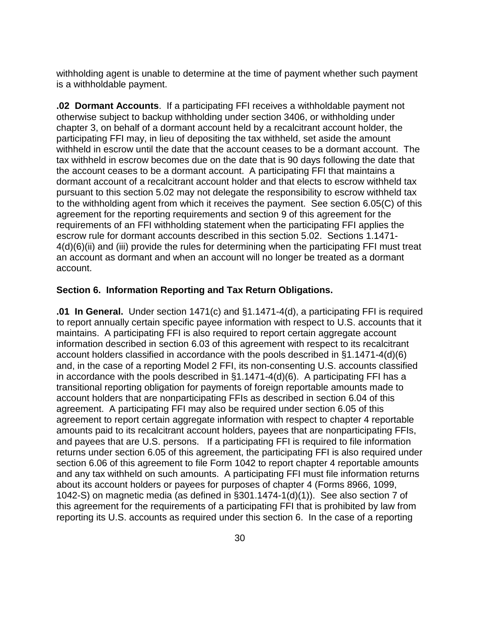withholding agent is unable to determine at the time of payment whether such payment is a withholdable payment.

**.02 Dormant Accounts**. If a participating FFI receives a withholdable payment not otherwise subject to backup withholding under section 3406, or withholding under chapter 3, on behalf of a dormant account held by a recalcitrant account holder, the participating FFI may, in lieu of depositing the tax withheld, set aside the amount withheld in escrow until the date that the account ceases to be a dormant account. The tax withheld in escrow becomes due on the date that is 90 days following the date that the account ceases to be a dormant account. A participating FFI that maintains a dormant account of a recalcitrant account holder and that elects to escrow withheld tax pursuant to this section 5.02 may not delegate the responsibility to escrow withheld tax to the withholding agent from which it receives the payment. See section 6.05(C) of this agreement for the reporting requirements and section 9 of this agreement for the requirements of an FFI withholding statement when the participating FFI applies the escrow rule for dormant accounts described in this section 5.02. Sections 1.1471- 4(d)(6)(ii) and (iii) provide the rules for determining when the participating FFI must treat an account as dormant and when an account will no longer be treated as a dormant account.

# **Section 6. Information Reporting and Tax Return Obligations.**

**.01 In General.** Under section 1471(c) and §1.1471-4(d), a participating FFI is required to report annually certain specific payee information with respect to U.S. accounts that it maintains. A participating FFI is also required to report certain aggregate account information described in section 6.03 of this agreement with respect to its recalcitrant account holders classified in accordance with the pools described in §1.1471-4(d)(6) and, in the case of a reporting Model 2 FFI, its non-consenting U.S. accounts classified in accordance with the pools described in §1.1471-4(d)(6). A participating FFI has a transitional reporting obligation for payments of foreign reportable amounts made to account holders that are nonparticipating FFIs as described in section 6.04 of this agreement. A participating FFI may also be required under section 6.05 of this agreement to report certain aggregate information with respect to chapter 4 reportable amounts paid to its recalcitrant account holders, payees that are nonparticipating FFIs, and payees that are U.S. persons. If a participating FFI is required to file information returns under section 6.05 of this agreement, the participating FFI is also required under section 6.06 of this agreement to file Form 1042 to report chapter 4 reportable amounts and any tax withheld on such amounts. A participating FFI must file information returns about its account holders or payees for purposes of chapter 4 (Forms 8966, 1099, 1042-S) on magnetic media (as defined in §301.1474-1(d)(1)). See also section 7 of this agreement for the requirements of a participating FFI that is prohibited by law from reporting its U.S. accounts as required under this section 6. In the case of a reporting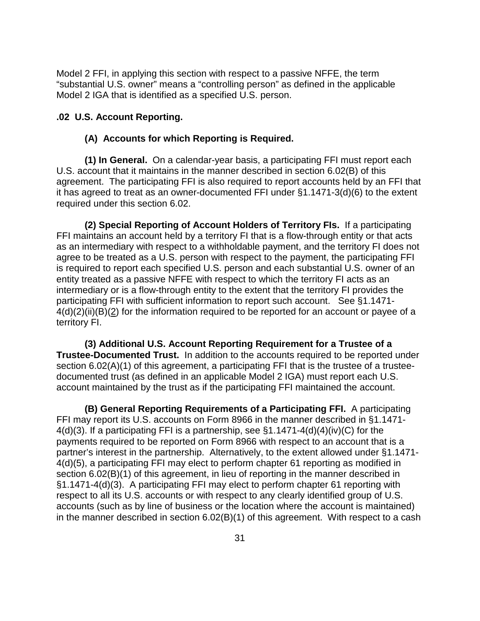Model 2 FFI, in applying this section with respect to a passive NFFE, the term "substantial U.S. owner" means a "controlling person" as defined in the applicable Model 2 IGA that is identified as a specified U.S. person.

# **.02 U.S. Account Reporting.**

# **(A) Accounts for which Reporting is Required.**

**(1) In General.** On a calendar-year basis, a participating FFI must report each U.S. account that it maintains in the manner described in section 6.02(B) of this agreement. The participating FFI is also required to report accounts held by an FFI that it has agreed to treat as an owner-documented FFI under §1.1471-3(d)(6) to the extent required under this section 6.02.

**(2) Special Reporting of Account Holders of Territory FIs.** If a participating FFI maintains an account held by a territory FI that is a flow-through entity or that acts as an intermediary with respect to a withholdable payment, and the territory FI does not agree to be treated as a U.S. person with respect to the payment, the participating FFI is required to report each specified U.S. person and each substantial U.S. owner of an entity treated as a passive NFFE with respect to which the territory FI acts as an intermediary or is a flow-through entity to the extent that the territory FI provides the participating FFI with sufficient information to report such account. See §1.1471- 4(d)(2)(ii)(B)(2) for the information required to be reported for an account or payee of a territory FI.

**(3) Additional U.S. Account Reporting Requirement for a Trustee of a Trustee-Documented Trust.** In addition to the accounts required to be reported under section 6.02(A)(1) of this agreement, a participating FFI that is the trustee of a trusteedocumented trust (as defined in an applicable Model 2 IGA) must report each U.S. account maintained by the trust as if the participating FFI maintained the account.

**(B) General Reporting Requirements of a Participating FFI.** A participating FFI may report its U.S. accounts on Form 8966 in the manner described in §1.1471- 4(d)(3). If a participating FFI is a partnership, see §1.1471-4(d)(4)(iv)(C) for the payments required to be reported on Form 8966 with respect to an account that is a partner's interest in the partnership. Alternatively, to the extent allowed under §1.1471- 4(d)(5), a participating FFI may elect to perform chapter 61 reporting as modified in section 6.02(B)(1) of this agreement, in lieu of reporting in the manner described in §1.1471-4(d)(3). A participating FFI may elect to perform chapter 61 reporting with respect to all its U.S. accounts or with respect to any clearly identified group of U.S. accounts (such as by line of business or the location where the account is maintained) in the manner described in section 6.02(B)(1) of this agreement. With respect to a cash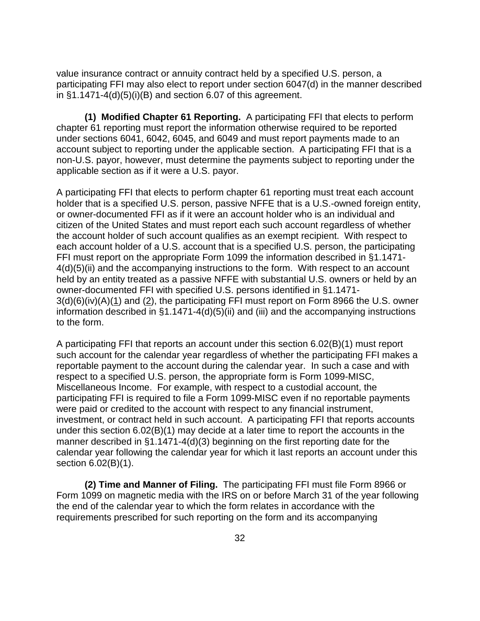value insurance contract or annuity contract held by a specified U.S. person, a participating FFI may also elect to report under section 6047(d) in the manner described in §1.1471-4(d)(5)(i)(B) and section 6.07 of this agreement.

**(1) Modified Chapter 61 Reporting.** A participating FFI that elects to perform chapter 61 reporting must report the information otherwise required to be reported under sections 6041, 6042, 6045, and 6049 and must report payments made to an account subject to reporting under the applicable section. A participating FFI that is a non-U.S. payor, however, must determine the payments subject to reporting under the applicable section as if it were a U.S. payor.

A participating FFI that elects to perform chapter 61 reporting must treat each account holder that is a specified U.S. person, passive NFFE that is a U.S.-owned foreign entity, or owner-documented FFI as if it were an account holder who is an individual and citizen of the United States and must report each such account regardless of whether the account holder of such account qualifies as an exempt recipient. With respect to each account holder of a U.S. account that is a specified U.S. person, the participating FFI must report on the appropriate Form 1099 the information described in §1.1471- 4(d)(5)(ii) and the accompanying instructions to the form. With respect to an account held by an entity treated as a passive NFFE with substantial U.S. owners or held by an owner-documented FFI with specified U.S. persons identified in §1.1471-  $3(d)(6)(iv)(A)(1)$  and  $(2)$ , the participating FFI must report on Form 8966 the U.S. owner information described in §1.1471-4(d)(5)(ii) and (iii) and the accompanying instructions to the form.

A participating FFI that reports an account under this section 6.02(B)(1) must report such account for the calendar year regardless of whether the participating FFI makes a reportable payment to the account during the calendar year. In such a case and with respect to a specified U.S. person, the appropriate form is Form 1099-MISC, Miscellaneous Income. For example, with respect to a custodial account, the participating FFI is required to file a Form 1099-MISC even if no reportable payments were paid or credited to the account with respect to any financial instrument, investment, or contract held in such account. A participating FFI that reports accounts under this section 6.02(B)(1) may decide at a later time to report the accounts in the manner described in §1.1471-4(d)(3) beginning on the first reporting date for the calendar year following the calendar year for which it last reports an account under this section 6.02(B)(1).

**(2) Time and Manner of Filing.** The participating FFI must file Form 8966 or Form 1099 on magnetic media with the IRS on or before March 31 of the year following the end of the calendar year to which the form relates in accordance with the requirements prescribed for such reporting on the form and its accompanying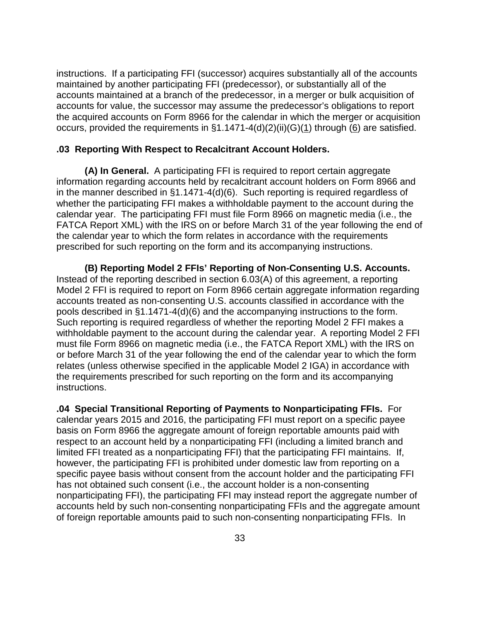instructions. If a participating FFI (successor) acquires substantially all of the accounts maintained by another participating FFI (predecessor), or substantially all of the accounts maintained at a branch of the predecessor, in a merger or bulk acquisition of accounts for value, the successor may assume the predecessor's obligations to report the acquired accounts on Form 8966 for the calendar in which the merger or acquisition occurs, provided the requirements in §1.1471-4(d)(2)(ii)(G)(1) through (6) are satisfied.

## **.03 Reporting With Respect to Recalcitrant Account Holders.**

**(A) In General.** A participating FFI is required to report certain aggregate information regarding accounts held by recalcitrant account holders on Form 8966 and in the manner described in §1.1471-4(d)(6). Such reporting is required regardless of whether the participating FFI makes a withholdable payment to the account during the calendar year. The participating FFI must file Form 8966 on magnetic media (i.e., the FATCA Report XML) with the IRS on or before March 31 of the year following the end of the calendar year to which the form relates in accordance with the requirements prescribed for such reporting on the form and its accompanying instructions.

**(B) Reporting Model 2 FFIs' Reporting of Non-Consenting U.S. Accounts.**  Instead of the reporting described in section 6.03(A) of this agreement, a reporting Model 2 FFI is required to report on Form 8966 certain aggregate information regarding accounts treated as non-consenting U.S. accounts classified in accordance with the pools described in §1.1471-4(d)(6) and the accompanying instructions to the form. Such reporting is required regardless of whether the reporting Model 2 FFI makes a withholdable payment to the account during the calendar year. A reporting Model 2 FFI must file Form 8966 on magnetic media (i.e., the FATCA Report XML) with the IRS on or before March 31 of the year following the end of the calendar year to which the form relates (unless otherwise specified in the applicable Model 2 IGA) in accordance with the requirements prescribed for such reporting on the form and its accompanying instructions.

**.04 Special Transitional Reporting of Payments to Nonparticipating FFIs.** For calendar years 2015 and 2016, the participating FFI must report on a specific payee basis on Form 8966 the aggregate amount of foreign reportable amounts paid with respect to an account held by a nonparticipating FFI (including a limited branch and limited FFI treated as a nonparticipating FFI) that the participating FFI maintains. If, however, the participating FFI is prohibited under domestic law from reporting on a specific payee basis without consent from the account holder and the participating FFI has not obtained such consent (i.e., the account holder is a non-consenting nonparticipating FFI), the participating FFI may instead report the aggregate number of accounts held by such non-consenting nonparticipating FFIs and the aggregate amount of foreign reportable amounts paid to such non-consenting nonparticipating FFIs. In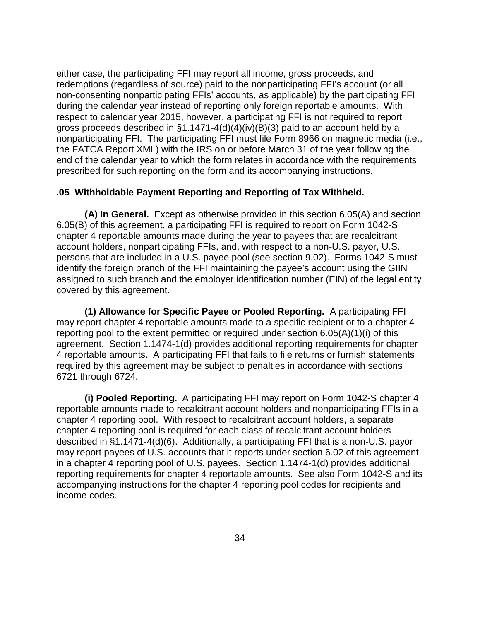either case, the participating FFI may report all income, gross proceeds, and redemptions (regardless of source) paid to the nonparticipating FFI's account (or all non-consenting nonparticipating FFIs' accounts, as applicable) by the participating FFI during the calendar year instead of reporting only foreign reportable amounts. With respect to calendar year 2015, however, a participating FFI is not required to report gross proceeds described in §1.1471-4(d)(4)(iv)(B)(3) paid to an account held by a nonparticipating FFI. The participating FFI must file Form 8966 on magnetic media (i.e., the FATCA Report XML) with the IRS on or before March 31 of the year following the end of the calendar year to which the form relates in accordance with the requirements prescribed for such reporting on the form and its accompanying instructions.

# **.05 Withholdable Payment Reporting and Reporting of Tax Withheld.**

**(A) In General.** Except as otherwise provided in this section 6.05(A) and section 6.05(B) of this agreement, a participating FFI is required to report on Form 1042-S chapter 4 reportable amounts made during the year to payees that are recalcitrant account holders, nonparticipating FFIs, and, with respect to a non-U.S. payor, U.S. persons that are included in a U.S. payee pool (see section 9.02). Forms 1042-S must identify the foreign branch of the FFI maintaining the payee's account using the GIIN assigned to such branch and the employer identification number (EIN) of the legal entity covered by this agreement.

**(1) Allowance for Specific Payee or Pooled Reporting.** A participating FFI may report chapter 4 reportable amounts made to a specific recipient or to a chapter 4 reporting pool to the extent permitted or required under section 6.05(A)(1)(i) of this agreement. Section 1.1474-1(d) provides additional reporting requirements for chapter 4 reportable amounts. A participating FFI that fails to file returns or furnish statements required by this agreement may be subject to penalties in accordance with sections 6721 through 6724.

**(i) Pooled Reporting.** A participating FFI may report on Form 1042-S chapter 4 reportable amounts made to recalcitrant account holders and nonparticipating FFIs in a chapter 4 reporting pool. With respect to recalcitrant account holders, a separate chapter 4 reporting pool is required for each class of recalcitrant account holders described in §1.1471-4(d)(6). Additionally, a participating FFI that is a non-U.S. payor may report payees of U.S. accounts that it reports under section 6.02 of this agreement in a chapter 4 reporting pool of U.S. payees. Section 1.1474-1(d) provides additional reporting requirements for chapter 4 reportable amounts. See also Form 1042-S and its accompanying instructions for the chapter 4 reporting pool codes for recipients and income codes.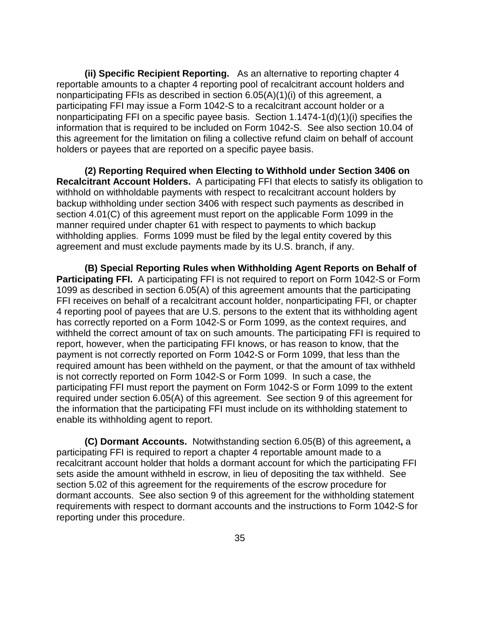**(ii) Specific Recipient Reporting.** As an alternative to reporting chapter 4 reportable amounts to a chapter 4 reporting pool of recalcitrant account holders and nonparticipating FFIs as described in section 6.05(A)(1)(i) of this agreement, a participating FFI may issue a Form 1042-S to a recalcitrant account holder or a nonparticipating FFI on a specific payee basis. Section 1.1474-1(d)(1)(i) specifies the information that is required to be included on Form 1042-S. See also section 10.04 of this agreement for the limitation on filing a collective refund claim on behalf of account holders or payees that are reported on a specific payee basis.

**(2) Reporting Required when Electing to Withhold under Section 3406 on Recalcitrant Account Holders.** A participating FFI that elects to satisfy its obligation to withhold on withholdable payments with respect to recalcitrant account holders by backup withholding under section 3406 with respect such payments as described in section 4.01(C) of this agreement must report on the applicable Form 1099 in the manner required under chapter 61 with respect to payments to which backup withholding applies. Forms 1099 must be filed by the legal entity covered by this agreement and must exclude payments made by its U.S. branch, if any.

**(B) Special Reporting Rules when Withholding Agent Reports on Behalf of Participating FFI.** A participating FFI is not required to report on Form 1042-S or Form 1099 as described in section 6.05(A) of this agreement amounts that the participating FFI receives on behalf of a recalcitrant account holder, nonparticipating FFI, or chapter 4 reporting pool of payees that are U.S. persons to the extent that its withholding agent has correctly reported on a Form 1042-S or Form 1099, as the context requires, and withheld the correct amount of tax on such amounts. The participating FFI is required to report, however, when the participating FFI knows, or has reason to know, that the payment is not correctly reported on Form 1042-S or Form 1099, that less than the required amount has been withheld on the payment, or that the amount of tax withheld is not correctly reported on Form 1042-S or Form 1099. In such a case, the participating FFI must report the payment on Form 1042-S or Form 1099 to the extent required under section 6.05(A) of this agreement. See section 9 of this agreement for the information that the participating FFI must include on its withholding statement to enable its withholding agent to report.

**(C) Dormant Accounts.** Notwithstanding section 6.05(B) of this agreement**,** a participating FFI is required to report a chapter 4 reportable amount made to a recalcitrant account holder that holds a dormant account for which the participating FFI sets aside the amount withheld in escrow, in lieu of depositing the tax withheld. See section 5.02 of this agreement for the requirements of the escrow procedure for dormant accounts. See also section 9 of this agreement for the withholding statement requirements with respect to dormant accounts and the instructions to Form 1042-S for reporting under this procedure.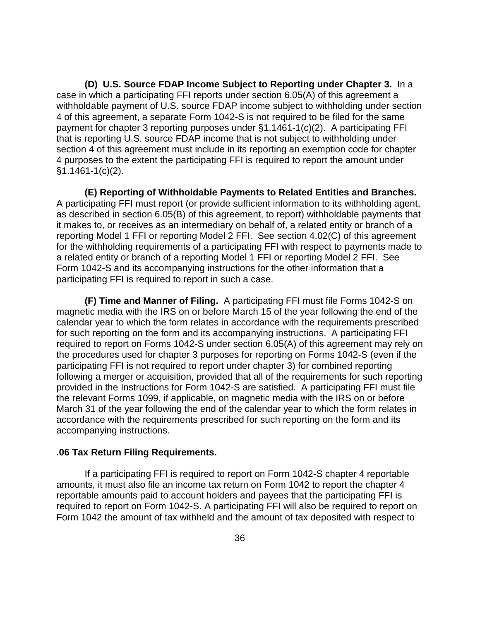**(D) U.S. Source FDAP Income Subject to Reporting under Chapter 3.** In a case in which a participating FFI reports under section 6.05(A) of this agreement a withholdable payment of U.S. source FDAP income subject to withholding under section 4 of this agreement, a separate Form 1042-S is not required to be filed for the same payment for chapter 3 reporting purposes under §1.1461-1(c)(2). A participating FFI that is reporting U.S. source FDAP income that is not subject to withholding under section 4 of this agreement must include in its reporting an exemption code for chapter 4 purposes to the extent the participating FFI is required to report the amount under §1.1461-1(c)(2).

**(E) Reporting of Withholdable Payments to Related Entities and Branches.** A participating FFI must report (or provide sufficient information to its withholding agent, as described in section 6.05(B) of this agreement, to report) withholdable payments that it makes to, or receives as an intermediary on behalf of, a related entity or branch of a reporting Model 1 FFI or reporting Model 2 FFI. See section 4.02(C) of this agreement for the withholding requirements of a participating FFI with respect to payments made to a related entity or branch of a reporting Model 1 FFI or reporting Model 2 FFI. See Form 1042-S and its accompanying instructions for the other information that a participating FFI is required to report in such a case.

**(F) Time and Manner of Filing.** A participating FFI must file Forms 1042-S on magnetic media with the IRS on or before March 15 of the year following the end of the calendar year to which the form relates in accordance with the requirements prescribed for such reporting on the form and its accompanying instructions. A participating FFI required to report on Forms 1042-S under section 6.05(A) of this agreement may rely on the procedures used for chapter 3 purposes for reporting on Forms 1042-S (even if the participating FFI is not required to report under chapter 3) for combined reporting following a merger or acquisition, provided that all of the requirements for such reporting provided in the Instructions for Form 1042-S are satisfied. A participating FFI must file the relevant Forms 1099, if applicable, on magnetic media with the IRS on or before March 31 of the year following the end of the calendar year to which the form relates in accordance with the requirements prescribed for such reporting on the form and its accompanying instructions.

# **.06 Tax Return Filing Requirements.**

If a participating FFI is required to report on Form 1042-S chapter 4 reportable amounts, it must also file an income tax return on Form 1042 to report the chapter 4 reportable amounts paid to account holders and payees that the participating FFI is required to report on Form 1042-S. A participating FFI will also be required to report on Form 1042 the amount of tax withheld and the amount of tax deposited with respect to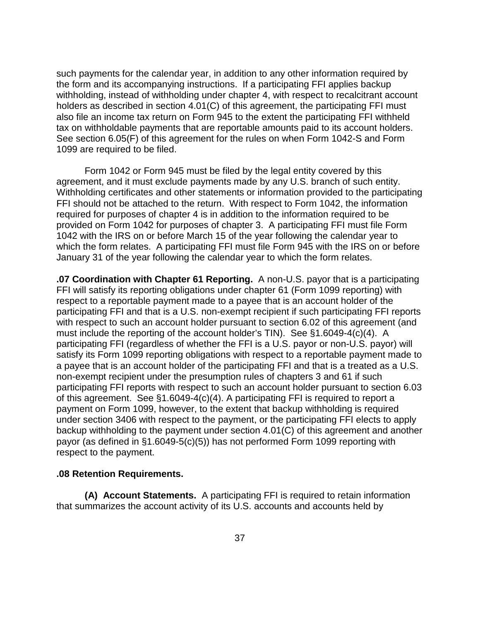such payments for the calendar year, in addition to any other information required by the form and its accompanying instructions. If a participating FFI applies backup withholding, instead of withholding under chapter 4, with respect to recalcitrant account holders as described in section 4.01(C) of this agreement, the participating FFI must also file an income tax return on Form 945 to the extent the participating FFI withheld tax on withholdable payments that are reportable amounts paid to its account holders. See section 6.05(F) of this agreement for the rules on when Form 1042-S and Form 1099 are required to be filed.

Form 1042 or Form 945 must be filed by the legal entity covered by this agreement, and it must exclude payments made by any U.S. branch of such entity. Withholding certificates and other statements or information provided to the participating FFI should not be attached to the return. With respect to Form 1042, the information required for purposes of chapter 4 is in addition to the information required to be provided on Form 1042 for purposes of chapter 3. A participating FFI must file Form 1042 with the IRS on or before March 15 of the year following the calendar year to which the form relates. A participating FFI must file Form 945 with the IRS on or before January 31 of the year following the calendar year to which the form relates.

**.07 Coordination with Chapter 61 Reporting.** A non-U.S. payor that is a participating FFI will satisfy its reporting obligations under chapter 61 (Form 1099 reporting) with respect to a reportable payment made to a payee that is an account holder of the participating FFI and that is a U.S. non-exempt recipient if such participating FFI reports with respect to such an account holder pursuant to section 6.02 of this agreement (and must include the reporting of the account holder's TIN). See §1.6049-4(c)(4). A participating FFI (regardless of whether the FFI is a U.S. payor or non-U.S. payor) will satisfy its Form 1099 reporting obligations with respect to a reportable payment made to a payee that is an account holder of the participating FFI and that is a treated as a U.S. non-exempt recipient under the presumption rules of chapters 3 and 61 if such participating FFI reports with respect to such an account holder pursuant to section 6.03 of this agreement. See §1.6049-4(c)(4). A participating FFI is required to report a payment on Form 1099, however, to the extent that backup withholding is required under section 3406 with respect to the payment, or the participating FFI elects to apply backup withholding to the payment under section 4.01(C) of this agreement and another payor (as defined in §1.6049-5(c)(5)) has not performed Form 1099 reporting with respect to the payment.

#### **.08 Retention Requirements.**

**(A) Account Statements.** A participating FFI is required to retain information that summarizes the account activity of its U.S. accounts and accounts held by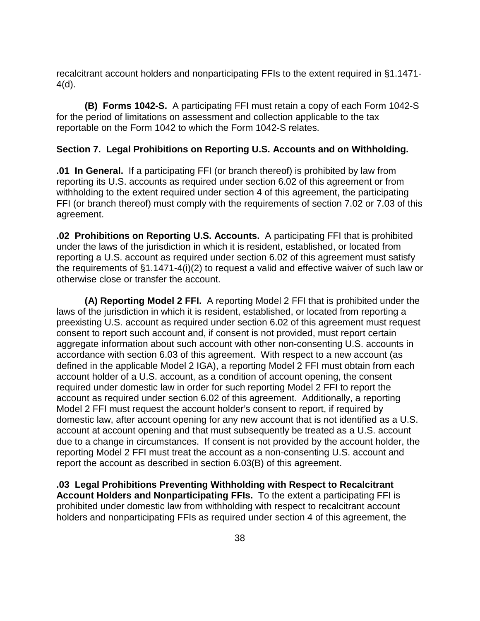recalcitrant account holders and nonparticipating FFIs to the extent required in §1.1471- 4(d).

**(B) Forms 1042-S.** A participating FFI must retain a copy of each Form 1042-S for the period of limitations on assessment and collection applicable to the tax reportable on the Form 1042 to which the Form 1042-S relates.

# **Section 7. Legal Prohibitions on Reporting U.S. Accounts and on Withholding.**

**.01 In General.** If a participating FFI (or branch thereof) is prohibited by law from reporting its U.S. accounts as required under section 6.02 of this agreement or from withholding to the extent required under section 4 of this agreement, the participating FFI (or branch thereof) must comply with the requirements of section 7.02 or 7.03 of this agreement.

**.02 Prohibitions on Reporting U.S. Accounts.** A participating FFI that is prohibited under the laws of the jurisdiction in which it is resident, established, or located from reporting a U.S. account as required under section 6.02 of this agreement must satisfy the requirements of §1.1471-4(i)(2) to request a valid and effective waiver of such law or otherwise close or transfer the account.

**(A) Reporting Model 2 FFI.** A reporting Model 2 FFI that is prohibited under the laws of the jurisdiction in which it is resident, established, or located from reporting a preexisting U.S. account as required under section 6.02 of this agreement must request consent to report such account and, if consent is not provided, must report certain aggregate information about such account with other non-consenting U.S. accounts in accordance with section 6.03 of this agreement. With respect to a new account (as defined in the applicable Model 2 IGA), a reporting Model 2 FFI must obtain from each account holder of a U.S. account, as a condition of account opening, the consent required under domestic law in order for such reporting Model 2 FFI to report the account as required under section 6.02 of this agreement. Additionally, a reporting Model 2 FFI must request the account holder's consent to report, if required by domestic law, after account opening for any new account that is not identified as a U.S. account at account opening and that must subsequently be treated as a U.S. account due to a change in circumstances. If consent is not provided by the account holder, the reporting Model 2 FFI must treat the account as a non-consenting U.S. account and report the account as described in section 6.03(B) of this agreement.

**.03 Legal Prohibitions Preventing Withholding with Respect to Recalcitrant Account Holders and Nonparticipating FFIs.** To the extent a participating FFI is prohibited under domestic law from withholding with respect to recalcitrant account holders and nonparticipating FFIs as required under section 4 of this agreement, the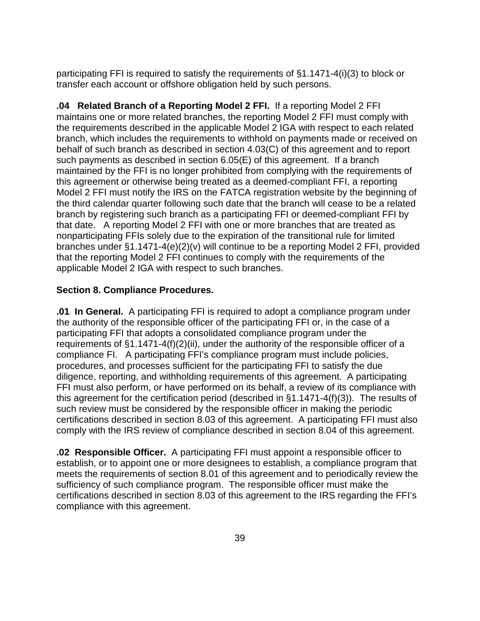participating FFI is required to satisfy the requirements of §1.1471-4(i)(3) to block or transfer each account or offshore obligation held by such persons.

**.04 Related Branch of a Reporting Model 2 FFI.** If a reporting Model 2 FFI maintains one or more related branches, the reporting Model 2 FFI must comply with the requirements described in the applicable Model 2 IGA with respect to each related branch, which includes the requirements to withhold on payments made or received on behalf of such branch as described in section 4.03(C) of this agreement and to report such payments as described in section 6.05(E) of this agreement. If a branch maintained by the FFI is no longer prohibited from complying with the requirements of this agreement or otherwise being treated as a deemed-compliant FFI, a reporting Model 2 FFI must notify the IRS on the FATCA registration website by the beginning of the third calendar quarter following such date that the branch will cease to be a related branch by registering such branch as a participating FFI or deemed-compliant FFI by that date. A reporting Model 2 FFI with one or more branches that are treated as nonparticipating FFIs solely due to the expiration of the transitional rule for limited branches under §1.1471-4(e)(2)(v) will continue to be a reporting Model 2 FFI, provided that the reporting Model 2 FFI continues to comply with the requirements of the applicable Model 2 IGA with respect to such branches.

# **Section 8. Compliance Procedures.**

**.01 In General.** A participating FFI is required to adopt a compliance program under the authority of the responsible officer of the participating FFI or, in the case of a participating FFI that adopts a consolidated compliance program under the requirements of §1.1471-4(f)(2)(ii), under the authority of the responsible officer of a compliance FI. A participating FFI's compliance program must include policies, procedures, and processes sufficient for the participating FFI to satisfy the due diligence, reporting, and withholding requirements of this agreement. A participating FFI must also perform, or have performed on its behalf, a review of its compliance with this agreement for the certification period (described in §1.1471-4(f)(3)). The results of such review must be considered by the responsible officer in making the periodic certifications described in section 8.03 of this agreement. A participating FFI must also comply with the IRS review of compliance described in section 8.04 of this agreement.

**.02 Responsible Officer.** A participating FFI must appoint a responsible officer to establish, or to appoint one or more designees to establish, a compliance program that meets the requirements of section 8.01 of this agreement and to periodically review the sufficiency of such compliance program. The responsible officer must make the certifications described in section 8.03 of this agreement to the IRS regarding the FFI's compliance with this agreement.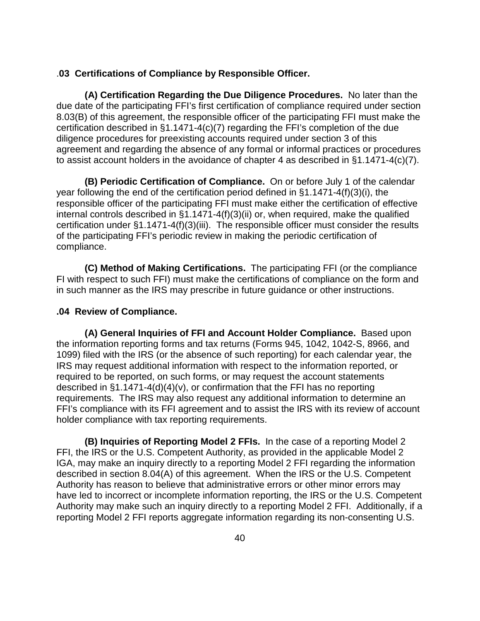## .**03 Certifications of Compliance by Responsible Officer.**

**(A) Certification Regarding the Due Diligence Procedures.** No later than the due date of the participating FFI's first certification of compliance required under section 8.03(B) of this agreement, the responsible officer of the participating FFI must make the certification described in §1.1471-4(c)(7) regarding the FFI's completion of the due diligence procedures for preexisting accounts required under section 3 of this agreement and regarding the absence of any formal or informal practices or procedures to assist account holders in the avoidance of chapter 4 as described in §1.1471-4(c)(7).

**(B) Periodic Certification of Compliance.** On or before July 1 of the calendar year following the end of the certification period defined in §1.1471-4(f)(3)(i), the responsible officer of the participating FFI must make either the certification of effective internal controls described in §1.1471-4(f)(3)(ii) or, when required, make the qualified certification under §1.1471-4(f)(3)(iii). The responsible officer must consider the results of the participating FFI's periodic review in making the periodic certification of compliance.

**(C) Method of Making Certifications.** The participating FFI (or the compliance FI with respect to such FFI) must make the certifications of compliance on the form and in such manner as the IRS may prescribe in future guidance or other instructions.

# **.04 Review of Compliance.**

**(A) General Inquiries of FFI and Account Holder Compliance.** Based upon the information reporting forms and tax returns (Forms 945, 1042, 1042-S, 8966, and 1099) filed with the IRS (or the absence of such reporting) for each calendar year, the IRS may request additional information with respect to the information reported, or required to be reported, on such forms, or may request the account statements described in §1.1471-4(d)(4)(v), or confirmation that the FFI has no reporting requirements. The IRS may also request any additional information to determine an FFI's compliance with its FFI agreement and to assist the IRS with its review of account holder compliance with tax reporting requirements.

**(B) Inquiries of Reporting Model 2 FFIs.** In the case of a reporting Model 2 FFI, the IRS or the U.S. Competent Authority, as provided in the applicable Model 2 IGA, may make an inquiry directly to a reporting Model 2 FFI regarding the information described in section 8.04(A) of this agreement. When the IRS or the U.S. Competent Authority has reason to believe that administrative errors or other minor errors may have led to incorrect or incomplete information reporting, the IRS or the U.S. Competent Authority may make such an inquiry directly to a reporting Model 2 FFI. Additionally, if a reporting Model 2 FFI reports aggregate information regarding its non-consenting U.S.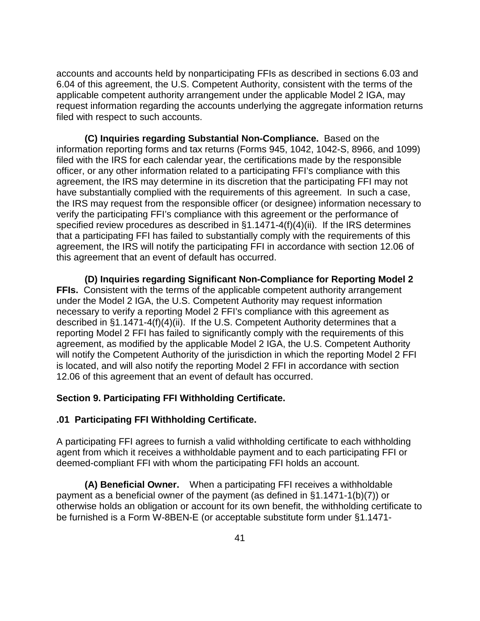accounts and accounts held by nonparticipating FFIs as described in sections 6.03 and 6.04 of this agreement, the U.S. Competent Authority, consistent with the terms of the applicable competent authority arrangement under the applicable Model 2 IGA, may request information regarding the accounts underlying the aggregate information returns filed with respect to such accounts.

**(C) Inquiries regarding Substantial Non-Compliance.** Based on the information reporting forms and tax returns (Forms 945, 1042, 1042-S, 8966, and 1099) filed with the IRS for each calendar year, the certifications made by the responsible officer, or any other information related to a participating FFI's compliance with this agreement, the IRS may determine in its discretion that the participating FFI may not have substantially complied with the requirements of this agreement. In such a case, the IRS may request from the responsible officer (or designee) information necessary to verify the participating FFI's compliance with this agreement or the performance of specified review procedures as described in §1.1471-4(f)(4)(ii). If the IRS determines that a participating FFI has failed to substantially comply with the requirements of this agreement, the IRS will notify the participating FFI in accordance with section 12.06 of this agreement that an event of default has occurred.

**(D) Inquiries regarding Significant Non-Compliance for Reporting Model 2 FFIs.** Consistent with the terms of the applicable competent authority arrangement under the Model 2 IGA, the U.S. Competent Authority may request information necessary to verify a reporting Model 2 FFI's compliance with this agreement as described in §1.1471-4(f)(4)(ii). If the U.S. Competent Authority determines that a reporting Model 2 FFI has failed to significantly comply with the requirements of this agreement, as modified by the applicable Model 2 IGA, the U.S. Competent Authority will notify the Competent Authority of the jurisdiction in which the reporting Model 2 FFI is located, and will also notify the reporting Model 2 FFI in accordance with section 12.06 of this agreement that an event of default has occurred.

# **Section 9. Participating FFI Withholding Certificate.**

# **.01 Participating FFI Withholding Certificate.**

A participating FFI agrees to furnish a valid withholding certificate to each withholding agent from which it receives a withholdable payment and to each participating FFI or deemed-compliant FFI with whom the participating FFI holds an account.

**(A) Beneficial Owner.** When a participating FFI receives a withholdable payment as a beneficial owner of the payment (as defined in §1.1471-1(b)(7)) or otherwise holds an obligation or account for its own benefit, the withholding certificate to be furnished is a Form W-8BEN-E (or acceptable substitute form under §1.1471-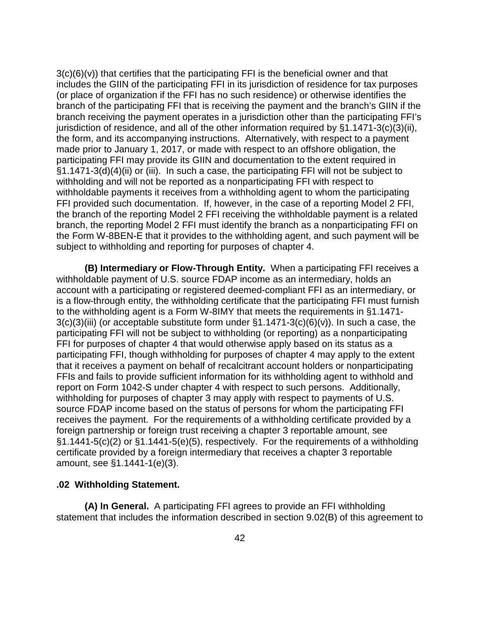$3(c)(6)(v)$  that certifies that the participating FFI is the beneficial owner and that includes the GIIN of the participating FFI in its jurisdiction of residence for tax purposes (or place of organization if the FFI has no such residence) or otherwise identifies the branch of the participating FFI that is receiving the payment and the branch's GIIN if the branch receiving the payment operates in a jurisdiction other than the participating FFI's jurisdiction of residence, and all of the other information required by §1.1471-3(c)(3)(ii), the form, and its accompanying instructions. Alternatively, with respect to a payment made prior to January 1, 2017, or made with respect to an offshore obligation, the participating FFI may provide its GIIN and documentation to the extent required in §1.1471-3(d)(4)(ii) or (iii). In such a case, the participating FFI will not be subject to withholding and will not be reported as a nonparticipating FFI with respect to withholdable payments it receives from a withholding agent to whom the participating FFI provided such documentation. If, however, in the case of a reporting Model 2 FFI, the branch of the reporting Model 2 FFI receiving the withholdable payment is a related branch, the reporting Model 2 FFI must identify the branch as a nonparticipating FFI on the Form W-8BEN-E that it provides to the withholding agent, and such payment will be subject to withholding and reporting for purposes of chapter 4.

**(B) Intermediary or Flow-Through Entity.** When a participating FFI receives a withholdable payment of U.S. source FDAP income as an intermediary, holds an account with a participating or registered deemed-compliant FFI as an intermediary, or is a flow-through entity, the withholding certificate that the participating FFI must furnish to the withholding agent is a Form W-8IMY that meets the requirements in §1.1471-  $3(c)(3)(iii)$  (or acceptable substitute form under  $\S1.1471-3(c)(6)(v)$ ). In such a case, the participating FFI will not be subject to withholding (or reporting) as a nonparticipating FFI for purposes of chapter 4 that would otherwise apply based on its status as a participating FFI, though withholding for purposes of chapter 4 may apply to the extent that it receives a payment on behalf of recalcitrant account holders or nonparticipating FFIs and fails to provide sufficient information for its withholding agent to withhold and report on Form 1042-S under chapter 4 with respect to such persons. Additionally, withholding for purposes of chapter 3 may apply with respect to payments of U.S. source FDAP income based on the status of persons for whom the participating FFI receives the payment. For the requirements of a withholding certificate provided by a foreign partnership or foreign trust receiving a chapter 3 reportable amount, see §1.1441-5(c)(2) or §1.1441-5(e)(5), respectively. For the requirements of a withholding certificate provided by a foreign intermediary that receives a chapter 3 reportable amount, see §1.1441-1(e)(3).

## **.02 Withholding Statement.**

**(A) In General.** A participating FFI agrees to provide an FFI withholding statement that includes the information described in section 9.02(B) of this agreement to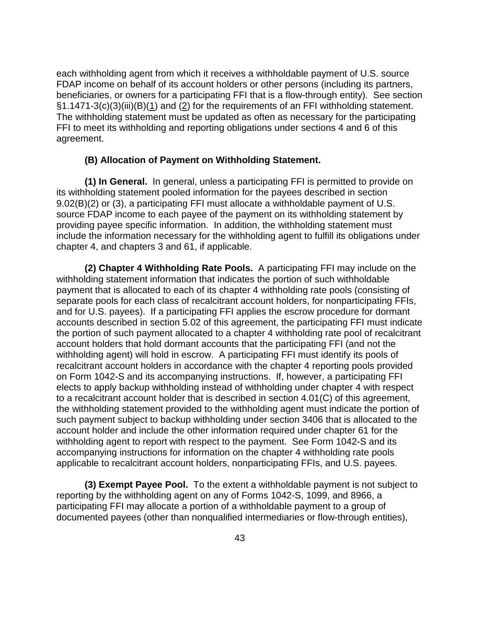each withholding agent from which it receives a withholdable payment of U.S. source FDAP income on behalf of its account holders or other persons (including its partners, beneficiaries, or owners for a participating FFI that is a flow-through entity). See section §1.1471-3(c)(3)(iii)(B)( $\underline{1}$ ) and ( $\underline{2}$ ) for the requirements of an FFI withholding statement. The withholding statement must be updated as often as necessary for the participating FFI to meet its withholding and reporting obligations under sections 4 and 6 of this agreement.

# **(B) Allocation of Payment on Withholding Statement.**

**(1) In General.** In general, unless a participating FFI is permitted to provide on its withholding statement pooled information for the payees described in section 9.02(B)(2) or (3), a participating FFI must allocate a withholdable payment of U.S. source FDAP income to each payee of the payment on its withholding statement by providing payee specific information. In addition, the withholding statement must include the information necessary for the withholding agent to fulfill its obligations under chapter 4, and chapters 3 and 61, if applicable.

**(2) Chapter 4 Withholding Rate Pools.** A participating FFI may include on the withholding statement information that indicates the portion of such withholdable payment that is allocated to each of its chapter 4 withholding rate pools (consisting of separate pools for each class of recalcitrant account holders, for nonparticipating FFIs, and for U.S. payees). If a participating FFI applies the escrow procedure for dormant accounts described in section 5.02 of this agreement, the participating FFI must indicate the portion of such payment allocated to a chapter 4 withholding rate pool of recalcitrant account holders that hold dormant accounts that the participating FFI (and not the withholding agent) will hold in escrow. A participating FFI must identify its pools of recalcitrant account holders in accordance with the chapter 4 reporting pools provided on Form 1042-S and its accompanying instructions. If, however, a participating FFI elects to apply backup withholding instead of withholding under chapter 4 with respect to a recalcitrant account holder that is described in section 4.01(C) of this agreement, the withholding statement provided to the withholding agent must indicate the portion of such payment subject to backup withholding under section 3406 that is allocated to the account holder and include the other information required under chapter 61 for the withholding agent to report with respect to the payment. See Form 1042-S and its accompanying instructions for information on the chapter 4 withholding rate pools applicable to recalcitrant account holders, nonparticipating FFIs, and U.S. payees.

**(3) Exempt Payee Pool.** To the extent a withholdable payment is not subject to reporting by the withholding agent on any of Forms 1042-S, 1099, and 8966, a participating FFI may allocate a portion of a withholdable payment to a group of documented payees (other than nonqualified intermediaries or flow-through entities),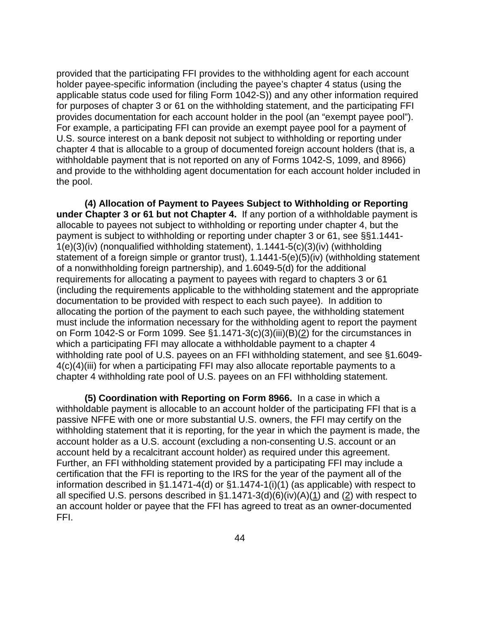provided that the participating FFI provides to the withholding agent for each account holder payee-specific information (including the payee's chapter 4 status (using the applicable status code used for filing Form 1042-S)) and any other information required for purposes of chapter 3 or 61 on the withholding statement, and the participating FFI provides documentation for each account holder in the pool (an "exempt payee pool"). For example, a participating FFI can provide an exempt payee pool for a payment of U.S. source interest on a bank deposit not subject to withholding or reporting under chapter 4 that is allocable to a group of documented foreign account holders (that is, a withholdable payment that is not reported on any of Forms 1042-S, 1099, and 8966) and provide to the withholding agent documentation for each account holder included in the pool.

**(4) Allocation of Payment to Payees Subject to Withholding or Reporting under Chapter 3 or 61 but not Chapter 4.** If any portion of a withholdable payment is allocable to payees not subject to withholding or reporting under chapter 4, but the payment is subject to withholding or reporting under chapter 3 or 61, see §§1.1441- 1(e)(3)(iv) (nonqualified withholding statement), 1.1441-5(c)(3)(iv) (withholding statement of a foreign simple or grantor trust), 1.1441-5(e)(5)(iv) (withholding statement of a nonwithholding foreign partnership), and 1.6049-5(d) for the additional requirements for allocating a payment to payees with regard to chapters 3 or 61 (including the requirements applicable to the withholding statement and the appropriate documentation to be provided with respect to each such payee). In addition to allocating the portion of the payment to each such payee, the withholding statement must include the information necessary for the withholding agent to report the payment on Form 1042-S or Form 1099. See §1.1471-3(c)(3)(iii)(B)( $\overline{2}$ ) for the circumstances in which a participating FFI may allocate a withholdable payment to a chapter 4 withholding rate pool of U.S. payees on an FFI withholding statement, and see §1.6049- 4(c)(4)(iii) for when a participating FFI may also allocate reportable payments to a chapter 4 withholding rate pool of U.S. payees on an FFI withholding statement.

**(5) Coordination with Reporting on Form 8966.** In a case in which a withholdable payment is allocable to an account holder of the participating FFI that is a passive NFFE with one or more substantial U.S. owners, the FFI may certify on the withholding statement that it is reporting, for the year in which the payment is made, the account holder as a U.S. account (excluding a non-consenting U.S. account or an account held by a recalcitrant account holder) as required under this agreement. Further, an FFI withholding statement provided by a participating FFI may include a certification that the FFI is reporting to the IRS for the year of the payment all of the information described in  $\S1.1471-4(d)$  or  $\S1.1474-1(i)(1)$  (as applicable) with respect to all specified U.S. persons described in  $\S1.1471-3(d)(6)(iv)(A)(1)$  and (2) with respect to an account holder or payee that the FFI has agreed to treat as an owner-documented FFI.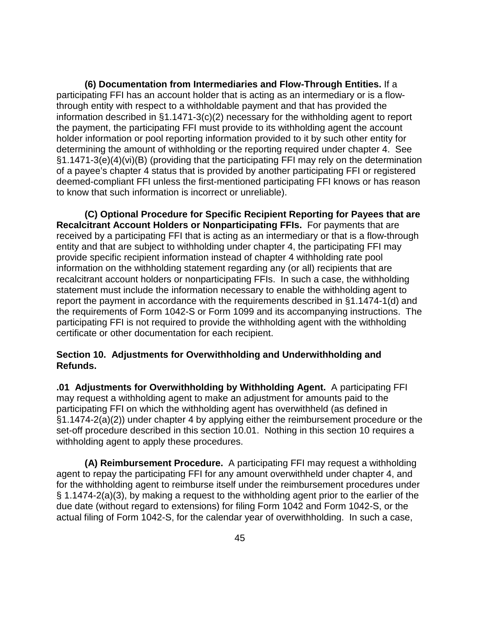**(6) Documentation from Intermediaries and Flow-Through Entities.** If a participating FFI has an account holder that is acting as an intermediary or is a flowthrough entity with respect to a withholdable payment and that has provided the information described in §1.1471-3(c)(2) necessary for the withholding agent to report the payment, the participating FFI must provide to its withholding agent the account holder information or pool reporting information provided to it by such other entity for determining the amount of withholding or the reporting required under chapter 4. See §1.1471-3(e)(4)(vi)(B) (providing that the participating FFI may rely on the determination of a payee's chapter 4 status that is provided by another participating FFI or registered deemed-compliant FFI unless the first-mentioned participating FFI knows or has reason to know that such information is incorrect or unreliable).

**(C) Optional Procedure for Specific Recipient Reporting for Payees that are Recalcitrant Account Holders or Nonparticipating FFIs.** For payments that are received by a participating FFI that is acting as an intermediary or that is a flow-through entity and that are subject to withholding under chapter 4, the participating FFI may provide specific recipient information instead of chapter 4 withholding rate pool information on the withholding statement regarding any (or all) recipients that are recalcitrant account holders or nonparticipating FFIs. In such a case, the withholding statement must include the information necessary to enable the withholding agent to report the payment in accordance with the requirements described in §1.1474-1(d) and the requirements of Form 1042-S or Form 1099 and its accompanying instructions. The participating FFI is not required to provide the withholding agent with the withholding certificate or other documentation for each recipient.

# **Section 10. Adjustments for Overwithholding and Underwithholding and Refunds.**

**.01 Adjustments for Overwithholding by Withholding Agent.** A participating FFI may request a withholding agent to make an adjustment for amounts paid to the participating FFI on which the withholding agent has overwithheld (as defined in §1.1474-2(a)(2)) under chapter 4 by applying either the reimbursement procedure or the set-off procedure described in this section 10.01. Nothing in this section 10 requires a withholding agent to apply these procedures.

**(A) Reimbursement Procedure.** A participating FFI may request a withholding agent to repay the participating FFI for any amount overwithheld under chapter 4, and for the withholding agent to reimburse itself under the reimbursement procedures under § 1.1474-2(a)(3), by making a request to the withholding agent prior to the earlier of the due date (without regard to extensions) for filing Form 1042 and Form 1042-S, or the actual filing of Form 1042-S, for the calendar year of overwithholding. In such a case,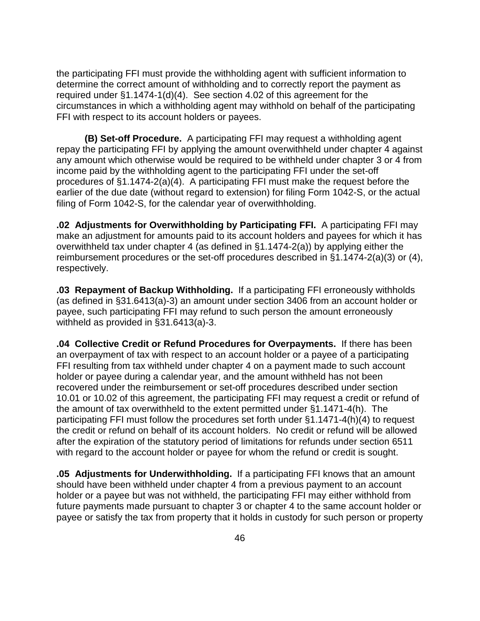the participating FFI must provide the withholding agent with sufficient information to determine the correct amount of withholding and to correctly report the payment as required under §1.1474-1(d)(4). See section 4.02 of this agreement for the circumstances in which a withholding agent may withhold on behalf of the participating FFI with respect to its account holders or payees.

**(B) Set-off Procedure.** A participating FFI may request a withholding agent repay the participating FFI by applying the amount overwithheld under chapter 4 against any amount which otherwise would be required to be withheld under chapter 3 or 4 from income paid by the withholding agent to the participating FFI under the set-off procedures of §1.1474-2(a)(4). A participating FFI must make the request before the earlier of the due date (without regard to extension) for filing Form 1042-S, or the actual filing of Form 1042-S, for the calendar year of overwithholding.

**.02 Adjustments for Overwithholding by Participating FFI.** A participating FFI may make an adjustment for amounts paid to its account holders and payees for which it has overwithheld tax under chapter 4 (as defined in §1.1474-2(a)) by applying either the reimbursement procedures or the set-off procedures described in §1.1474-2(a)(3) or (4), respectively.

**.03 Repayment of Backup Withholding.** If a participating FFI erroneously withholds (as defined in §31.6413(a)-3) an amount under section 3406 from an account holder or payee, such participating FFI may refund to such person the amount erroneously withheld as provided in §31.6413(a)-3.

**.04 Collective Credit or Refund Procedures for Overpayments.** If there has been an overpayment of tax with respect to an account holder or a payee of a participating FFI resulting from tax withheld under chapter 4 on a payment made to such account holder or payee during a calendar year, and the amount withheld has not been recovered under the reimbursement or set-off procedures described under section 10.01 or 10.02 of this agreement, the participating FFI may request a credit or refund of the amount of tax overwithheld to the extent permitted under §1.1471-4(h). The participating FFI must follow the procedures set forth under §1.1471-4(h)(4) to request the credit or refund on behalf of its account holders. No credit or refund will be allowed after the expiration of the statutory period of limitations for refunds under section 6511 with regard to the account holder or payee for whom the refund or credit is sought.

**.05 Adjustments for Underwithholding.** If a participating FFI knows that an amount should have been withheld under chapter 4 from a previous payment to an account holder or a payee but was not withheld, the participating FFI may either withhold from future payments made pursuant to chapter 3 or chapter 4 to the same account holder or payee or satisfy the tax from property that it holds in custody for such person or property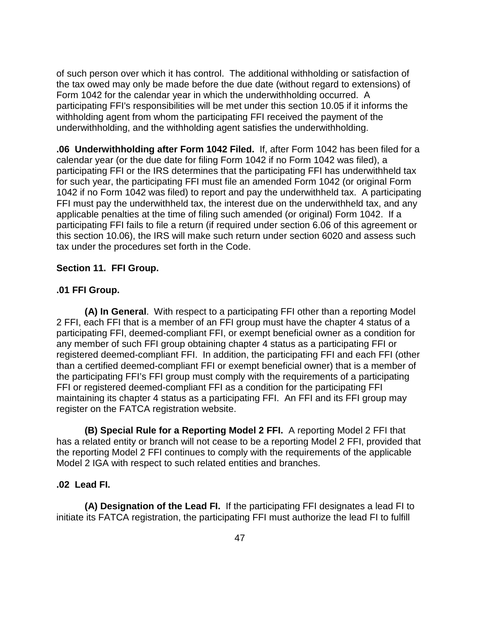of such person over which it has control. The additional withholding or satisfaction of the tax owed may only be made before the due date (without regard to extensions) of Form 1042 for the calendar year in which the underwithholding occurred. A participating FFI's responsibilities will be met under this section 10.05 if it informs the withholding agent from whom the participating FFI received the payment of the underwithholding, and the withholding agent satisfies the underwithholding.

**.06 Underwithholding after Form 1042 Filed.** If, after Form 1042 has been filed for a calendar year (or the due date for filing Form 1042 if no Form 1042 was filed), a participating FFI or the IRS determines that the participating FFI has underwithheld tax for such year, the participating FFI must file an amended Form 1042 (or original Form 1042 if no Form 1042 was filed) to report and pay the underwithheld tax. A participating FFI must pay the underwithheld tax, the interest due on the underwithheld tax, and any applicable penalties at the time of filing such amended (or original) Form 1042. If a participating FFI fails to file a return (if required under section 6.06 of this agreement or this section 10.06), the IRS will make such return under section 6020 and assess such tax under the procedures set forth in the Code.

## **Section 11. FFI Group.**

## **.01 FFI Group.**

**(A) In General**. With respect to a participating FFI other than a reporting Model 2 FFI, each FFI that is a member of an FFI group must have the chapter 4 status of a participating FFI, deemed-compliant FFI, or exempt beneficial owner as a condition for any member of such FFI group obtaining chapter 4 status as a participating FFI or registered deemed-compliant FFI. In addition, the participating FFI and each FFI (other than a certified deemed-compliant FFI or exempt beneficial owner) that is a member of the participating FFI's FFI group must comply with the requirements of a participating FFI or registered deemed-compliant FFI as a condition for the participating FFI maintaining its chapter 4 status as a participating FFI. An FFI and its FFI group may register on the FATCA registration website.

**(B) Special Rule for a Reporting Model 2 FFI.** A reporting Model 2 FFI that has a related entity or branch will not cease to be a reporting Model 2 FFI, provided that the reporting Model 2 FFI continues to comply with the requirements of the applicable Model 2 IGA with respect to such related entities and branches.

#### **.02 Lead FI.**

**(A) Designation of the Lead FI.** If the participating FFI designates a lead FI to initiate its FATCA registration, the participating FFI must authorize the lead FI to fulfill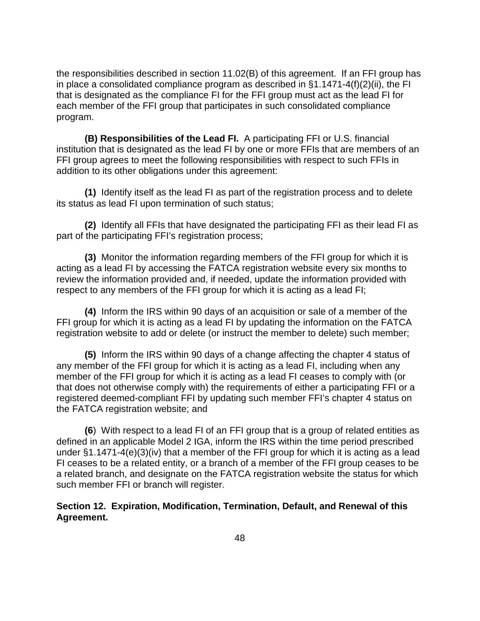the responsibilities described in section 11.02(B) of this agreement.If an FFI group has in place a consolidated compliance program as described in §1.1471-4(f)(2)(ii), the FI that is designated as the compliance FI for the FFI group must act as the lead FI for each member of the FFI group that participates in such consolidated compliance program.

**(B) Responsibilities of the Lead FI.** A participating FFI or U.S. financial institution that is designated as the lead FI by one or more FFIs that are members of an FFI group agrees to meet the following responsibilities with respect to such FFIs in addition to its other obligations under this agreement:

**(1)** Identify itself as the lead FI as part of the registration process and to delete its status as lead FI upon termination of such status;

**(2)** Identify all FFIs that have designated the participating FFI as their lead FI as part of the participating FFI's registration process;

**(3)** Monitor the information regarding members of the FFI group for which it is acting as a lead FI by accessing the FATCA registration website every six months to review the information provided and, if needed, update the information provided with respect to any members of the FFI group for which it is acting as a lead FI;

**(4)** Inform the IRS within 90 days of an acquisition or sale of a member of the FFI group for which it is acting as a lead FI by updating the information on the FATCA registration website to add or delete (or instruct the member to delete) such member;

**(5)** Inform the IRS within 90 days of a change affecting the chapter 4 status of any member of the FFI group for which it is acting as a lead FI, including when any member of the FFI group for which it is acting as a lead FI ceases to comply with (or that does not otherwise comply with) the requirements of either a participating FFI or a registered deemed-compliant FFI by updating such member FFI's chapter 4 status on the FATCA registration website; and

**(6**) With respect to a lead FI of an FFI group that is a group of related entities as defined in an applicable Model 2 IGA, inform the IRS within the time period prescribed under §1.1471-4(e)(3)(iv) that a member of the FFI group for which it is acting as a lead FI ceases to be a related entity, or a branch of a member of the FFI group ceases to be a related branch, and designate on the FATCA registration website the status for which such member FFI or branch will register.

**Section 12. Expiration, Modification, Termination, Default, and Renewal of this Agreement.**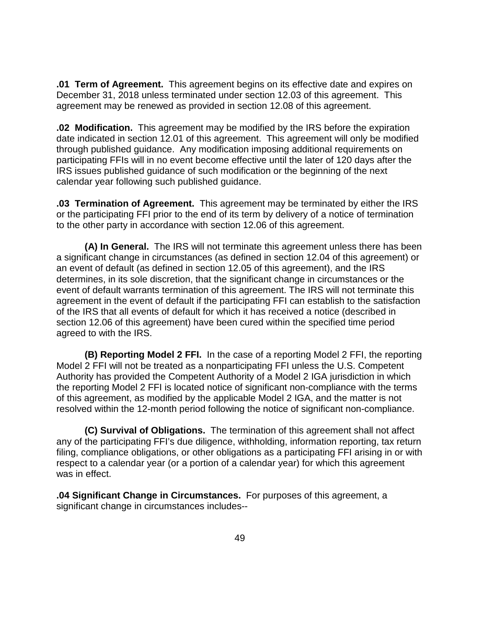**.01 Term of Agreement.** This agreement begins on its effective date and expires on December 31, 2018 unless terminated under section 12.03 of this agreement. This agreement may be renewed as provided in section 12.08 of this agreement.

**.02 Modification.** This agreement may be modified by the IRS before the expiration date indicated in section 12.01 of this agreement. This agreement will only be modified through published guidance. Any modification imposing additional requirements on participating FFIs will in no event become effective until the later of 120 days after the IRS issues published guidance of such modification or the beginning of the next calendar year following such published guidance.

**.03 Termination of Agreement.** This agreement may be terminated by either the IRS or the participating FFI prior to the end of its term by delivery of a notice of termination to the other party in accordance with section 12.06 of this agreement.

**(A) In General.** The IRS will not terminate this agreement unless there has been a significant change in circumstances (as defined in section 12.04 of this agreement) or an event of default (as defined in section 12.05 of this agreement), and the IRS determines, in its sole discretion, that the significant change in circumstances or the event of default warrants termination of this agreement. The IRS will not terminate this agreement in the event of default if the participating FFI can establish to the satisfaction of the IRS that all events of default for which it has received a notice (described in section 12.06 of this agreement) have been cured within the specified time period agreed to with the IRS.

**(B) Reporting Model 2 FFI.** In the case of a reporting Model 2 FFI, the reporting Model 2 FFI will not be treated as a nonparticipating FFI unless the U.S. Competent Authority has provided the Competent Authority of a Model 2 IGA jurisdiction in which the reporting Model 2 FFI is located notice of significant non-compliance with the terms of this agreement, as modified by the applicable Model 2 IGA, and the matter is not resolved within the 12-month period following the notice of significant non-compliance.

**(C) Survival of Obligations.** The termination of this agreement shall not affect any of the participating FFI's due diligence, withholding, information reporting, tax return filing, compliance obligations, or other obligations as a participating FFI arising in or with respect to a calendar year (or a portion of a calendar year) for which this agreement was in effect.

**.04 Significant Change in Circumstances.** For purposes of this agreement, a significant change in circumstances includes--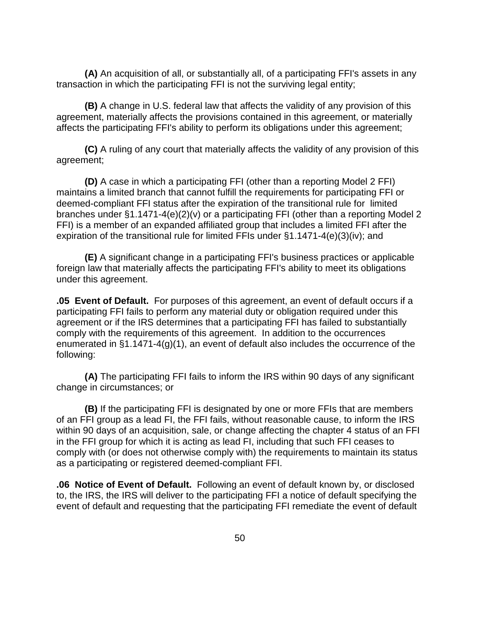**(A)** An acquisition of all, or substantially all, of a participating FFI's assets in any transaction in which the participating FFI is not the surviving legal entity;

**(B)** A change in U.S. federal law that affects the validity of any provision of this agreement, materially affects the provisions contained in this agreement, or materially affects the participating FFI's ability to perform its obligations under this agreement;

**(C)** A ruling of any court that materially affects the validity of any provision of this agreement;

**(D)** A case in which a participating FFI (other than a reporting Model 2 FFI) maintains a limited branch that cannot fulfill the requirements for participating FFI or deemed-compliant FFI status after the expiration of the transitional rule for limited branches under §1.1471-4(e)(2)(v) or a participating FFI (other than a reporting Model 2 FFI) is a member of an expanded affiliated group that includes a limited FFI after the expiration of the transitional rule for limited FFIs under §1.1471-4(e)(3)(iv); and

**(E)** A significant change in a participating FFI's business practices or applicable foreign law that materially affects the participating FFI's ability to meet its obligations under this agreement.

**.05 Event of Default.** For purposes of this agreement, an event of default occurs if a participating FFI fails to perform any material duty or obligation required under this agreement or if the IRS determines that a participating FFI has failed to substantially comply with the requirements of this agreement. In addition to the occurrences enumerated in §1.1471-4(g)(1), an event of default also includes the occurrence of the following:

**(A)** The participating FFI fails to inform the IRS within 90 days of any significant change in circumstances; or

**(B)** If the participating FFI is designated by one or more FFIs that are members of an FFI group as a lead FI, the FFI fails, without reasonable cause, to inform the IRS within 90 days of an acquisition, sale, or change affecting the chapter 4 status of an FFI in the FFI group for which it is acting as lead FI, including that such FFI ceases to comply with (or does not otherwise comply with) the requirements to maintain its status as a participating or registered deemed-compliant FFI.

**.06 Notice of Event of Default.** Following an event of default known by, or disclosed to, the IRS, the IRS will deliver to the participating FFI a notice of default specifying the event of default and requesting that the participating FFI remediate the event of default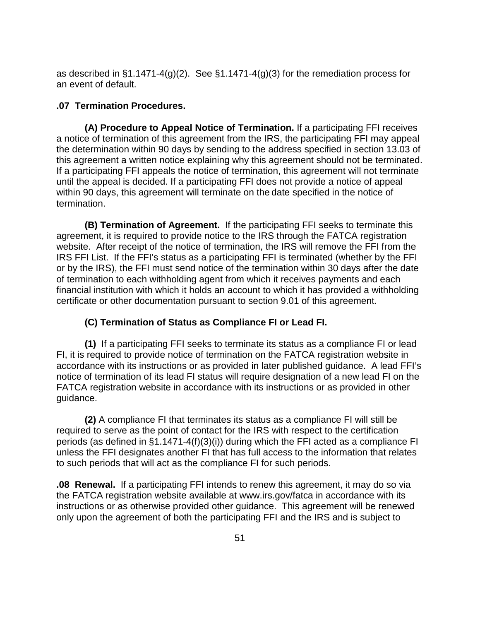as described in  $\S1.1471-4(g)(2)$ . See  $\S1.1471-4(g)(3)$  for the remediation process for an event of default.

## **.07 Termination Procedures.**

**(A) Procedure to Appeal Notice of Termination.** If a participating FFI receives a notice of termination of this agreement from the IRS, the participating FFI may appeal the determination within 90 days by sending to the address specified in section 13.03 of this agreement a written notice explaining why this agreement should not be terminated. If a participating FFI appeals the notice of termination, this agreement will not terminate until the appeal is decided. If a participating FFI does not provide a notice of appeal within 90 days, this agreement will terminate on the date specified in the notice of termination.

**(B) Termination of Agreement.** If the participating FFI seeks to terminate this agreement, it is required to provide notice to the IRS through the FATCA registration website. After receipt of the notice of termination, the IRS will remove the FFI from the IRS FFI List. If the FFI's status as a participating FFI is terminated (whether by the FFI or by the IRS), the FFI must send notice of the termination within 30 days after the date of termination to each withholding agent from which it receives payments and each financial institution with which it holds an account to which it has provided a withholding certificate or other documentation pursuant to section 9.01 of this agreement.

# **(C) Termination of Status as Compliance FI or Lead FI.**

**(1)** If a participating FFI seeks to terminate its status as a compliance FI or lead FI, it is required to provide notice of termination on the FATCA registration website in accordance with its instructions or as provided in later published guidance. A lead FFI's notice of termination of its lead FI status will require designation of a new lead FI on the FATCA registration website in accordance with its instructions or as provided in other guidance.

**(2)** A compliance FI that terminates its status as a compliance FI will still be required to serve as the point of contact for the IRS with respect to the certification periods (as defined in §1.1471-4(f)(3)(i)) during which the FFI acted as a compliance FI unless the FFI designates another FI that has full access to the information that relates to such periods that will act as the compliance FI for such periods.

**.08 Renewal.** If a participating FFI intends to renew this agreement, it may do so via the FATCA registration website available at www.irs.gov/fatca in accordance with its instructions or as otherwise provided other guidance. This agreement will be renewed only upon the agreement of both the participating FFI and the IRS and is subject to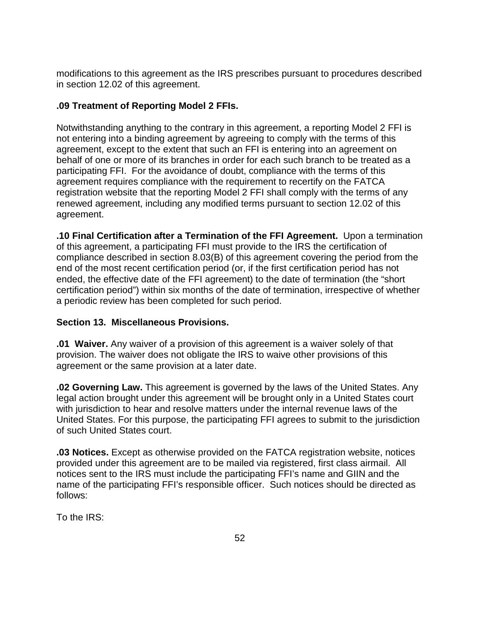modifications to this agreement as the IRS prescribes pursuant to procedures described in section 12.02 of this agreement.

# **.09 Treatment of Reporting Model 2 FFIs.**

Notwithstanding anything to the contrary in this agreement, a reporting Model 2 FFI is not entering into a binding agreement by agreeing to comply with the terms of this agreement, except to the extent that such an FFI is entering into an agreement on behalf of one or more of its branches in order for each such branch to be treated as a participating FFI. For the avoidance of doubt, compliance with the terms of this agreement requires compliance with the requirement to recertify on the FATCA registration website that the reporting Model 2 FFI shall comply with the terms of any renewed agreement, including any modified terms pursuant to section 12.02 of this agreement.

**.10 Final Certification after a Termination of the FFI Agreement.** Upon a termination of this agreement, a participating FFI must provide to the IRS the certification of compliance described in section 8.03(B) of this agreement covering the period from the end of the most recent certification period (or, if the first certification period has not ended, the effective date of the FFI agreement) to the date of termination (the "short certification period") within six months of the date of termination, irrespective of whether a periodic review has been completed for such period.

# **Section 13. Miscellaneous Provisions.**

**.01 Waiver.** Any waiver of a provision of this agreement is a waiver solely of that provision. The waiver does not obligate the IRS to waive other provisions of this agreement or the same provision at a later date.

**.02 Governing Law.** This agreement is governed by the laws of the United States. Any legal action brought under this agreement will be brought only in a United States court with jurisdiction to hear and resolve matters under the internal revenue laws of the United States. For this purpose, the participating FFI agrees to submit to the jurisdiction of such United States court.

**.03 Notices.** Except as otherwise provided on the FATCA registration website, notices provided under this agreement are to be mailed via registered, first class airmail. All notices sent to the IRS must include the participating FFI's name and GIIN and the name of the participating FFI's responsible officer. Such notices should be directed as follows:

To the IRS: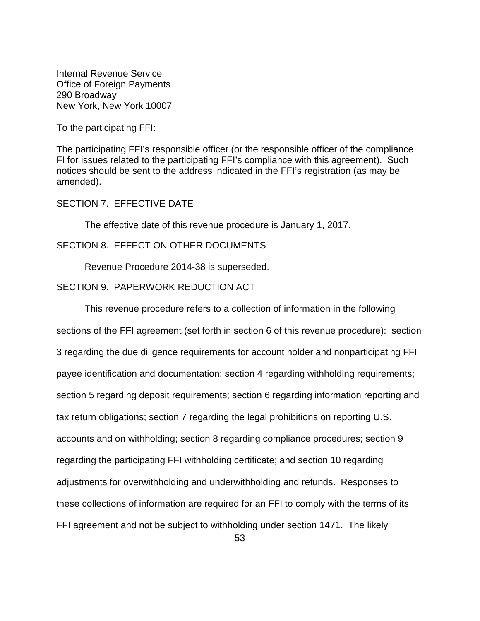Internal Revenue Service Office of Foreign Payments 290 Broadway New York, New York 10007

To the participating FFI:

The participating FFI's responsible officer (or the responsible officer of the compliance FI for issues related to the participating FFI's compliance with this agreement). Such notices should be sent to the address indicated in the FFI's registration (as may be amended).

# SECTION 7. EFFECTIVE DATE

The effective date of this revenue procedure is January 1, 2017.

# SECTION 8. EFFECT ON OTHER DOCUMENTS

Revenue Procedure 2014-38 is superseded.

## SECTION 9. PAPERWORK REDUCTION ACT

This revenue procedure refers to a collection of information in the following sections of the FFI agreement (set forth in section 6 of this revenue procedure): section 3 regarding the due diligence requirements for account holder and nonparticipating FFI payee identification and documentation; section 4 regarding withholding requirements; section 5 regarding deposit requirements; section 6 regarding information reporting and tax return obligations; section 7 regarding the legal prohibitions on reporting U.S. accounts and on withholding; section 8 regarding compliance procedures; section 9 regarding the participating FFI withholding certificate; and section 10 regarding adjustments for overwithholding and underwithholding and refunds. Responses to these collections of information are required for an FFI to comply with the terms of its FFI agreement and not be subject to withholding under section 1471. The likely